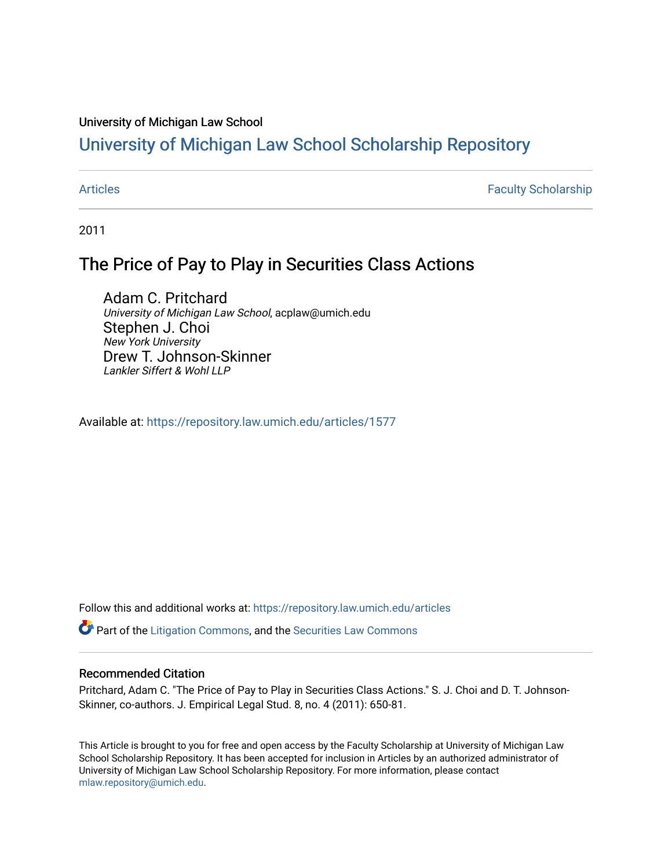# University of Michigan Law School

# [University of Michigan Law School Scholarship Repository](https://repository.law.umich.edu/)

[Articles](https://repository.law.umich.edu/articles) **Faculty Scholarship** Faculty Scholarship

2011

# The Price of Pay to Play in Securities Class Actions

Adam C. Pritchard University of Michigan Law School, acplaw@umich.edu Stephen J. Choi New York University Drew T. Johnson-Skinner Lankler Siffert & Wohl LLP

Available at: <https://repository.law.umich.edu/articles/1577>

Follow this and additional works at: [https://repository.law.umich.edu/articles](https://repository.law.umich.edu/articles?utm_source=repository.law.umich.edu%2Farticles%2F1577&utm_medium=PDF&utm_campaign=PDFCoverPages) 

Part of the [Litigation Commons](http://network.bepress.com/hgg/discipline/910?utm_source=repository.law.umich.edu%2Farticles%2F1577&utm_medium=PDF&utm_campaign=PDFCoverPages), and the [Securities Law Commons](http://network.bepress.com/hgg/discipline/619?utm_source=repository.law.umich.edu%2Farticles%2F1577&utm_medium=PDF&utm_campaign=PDFCoverPages) 

# Recommended Citation

Pritchard, Adam C. "The Price of Pay to Play in Securities Class Actions." S. J. Choi and D. T. Johnson-Skinner, co-authors. J. Empirical Legal Stud. 8, no. 4 (2011): 650-81.

This Article is brought to you for free and open access by the Faculty Scholarship at University of Michigan Law School Scholarship Repository. It has been accepted for inclusion in Articles by an authorized administrator of University of Michigan Law School Scholarship Repository. For more information, please contact [mlaw.repository@umich.edu.](mailto:mlaw.repository@umich.edu)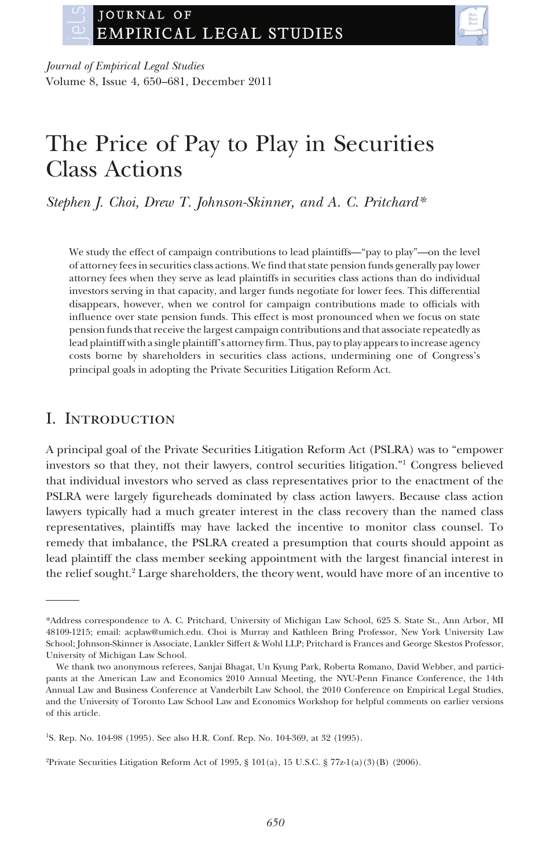

*Journal of Empirical Legal Studies* Volume 8, Issue 4, 650–681, December 2011

# The Price of Pay to Play in Securities Class Actions

*Stephen J. Choi, Drew T. Johnson-Skinner, and A. C. Pritchard\**

We study the effect of campaign contributions to lead plaintiffs—"pay to play"—on the level of attorney fees in securities class actions. We find that state pension funds generally pay lower attorney fees when they serve as lead plaintiffs in securities class actions than do individual investors serving in that capacity, and larger funds negotiate for lower fees. This differential disappears, however, when we control for campaign contributions made to officials with influence over state pension funds. This effect is most pronounced when we focus on state pension funds that receive the largest campaign contributions and that associate repeatedly as lead plaintiff with a single plaintiff's attorney firm. Thus, pay to play appears to increase agency costs borne by shareholders in securities class actions, undermining one of Congress's principal goals in adopting the Private Securities Litigation Reform Act.

# I. Introduction

A principal goal of the Private Securities Litigation Reform Act (PSLRA) was to "empower investors so that they, not their lawyers, control securities litigation."1 Congress believed that individual investors who served as class representatives prior to the enactment of the PSLRA were largely figureheads dominated by class action lawyers. Because class action lawyers typically had a much greater interest in the class recovery than the named class representatives, plaintiffs may have lacked the incentive to monitor class counsel. To remedy that imbalance, the PSLRA created a presumption that courts should appoint as lead plaintiff the class member seeking appointment with the largest financial interest in the relief sought.<sup>2</sup> Large shareholders, the theory went, would have more of an incentive to

<sup>\*</sup>Address correspondence to A. C. Pritchard, University of Michigan Law School, 625 S. State St., Ann Arbor, MI 48109-1215; email: acplaw@umich.edu. Choi is Murray and Kathleen Bring Professor, New York University Law School; Johnson-Skinner is Associate, Lankler Siffert & Wohl LLP; Pritchard is Frances and George Skestos Professor, University of Michigan Law School.

We thank two anonymous referees, Sanjai Bhagat, Un Kyung Park, Roberta Romano, David Webber, and participants at the American Law and Economics 2010 Annual Meeting, the NYU-Penn Finance Conference, the 14th Annual Law and Business Conference at Vanderbilt Law School, the 2010 Conference on Empirical Legal Studies, and the University of Toronto Law School Law and Economics Workshop for helpful comments on earlier versions of this article.

<sup>&</sup>lt;sup>1</sup>S. Rep. No. 104-98 (1995). See also H.R. Conf. Rep. No. 104-369, at 32 (1995).

<sup>2</sup> Private Securities Litigation Reform Act of 1995, § 101(a), 15 U.S.C. § 77z-1(a)(3)(B) (2006).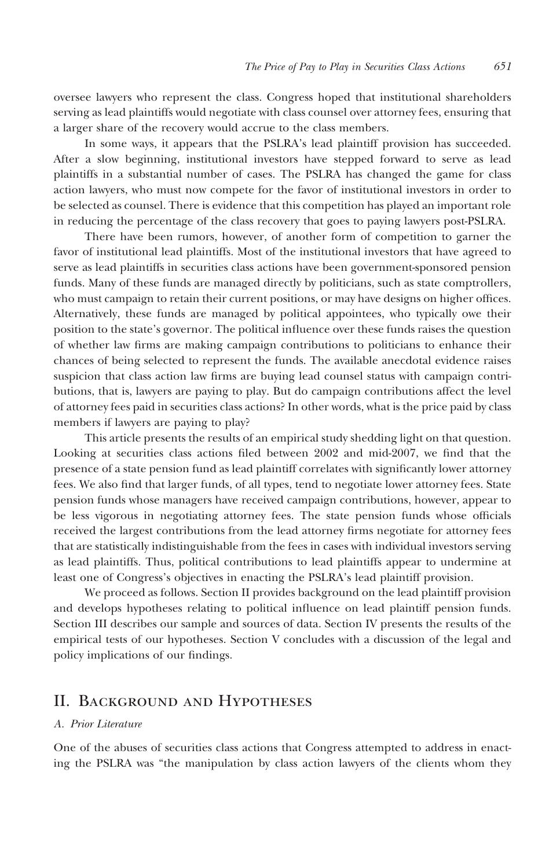oversee lawyers who represent the class. Congress hoped that institutional shareholders serving as lead plaintiffs would negotiate with class counsel over attorney fees, ensuring that a larger share of the recovery would accrue to the class members.

In some ways, it appears that the PSLRA's lead plaintiff provision has succeeded. After a slow beginning, institutional investors have stepped forward to serve as lead plaintiffs in a substantial number of cases. The PSLRA has changed the game for class action lawyers, who must now compete for the favor of institutional investors in order to be selected as counsel. There is evidence that this competition has played an important role in reducing the percentage of the class recovery that goes to paying lawyers post-PSLRA.

There have been rumors, however, of another form of competition to garner the favor of institutional lead plaintiffs. Most of the institutional investors that have agreed to serve as lead plaintiffs in securities class actions have been government-sponsored pension funds. Many of these funds are managed directly by politicians, such as state comptrollers, who must campaign to retain their current positions, or may have designs on higher offices. Alternatively, these funds are managed by political appointees, who typically owe their position to the state's governor. The political influence over these funds raises the question of whether law firms are making campaign contributions to politicians to enhance their chances of being selected to represent the funds. The available anecdotal evidence raises suspicion that class action law firms are buying lead counsel status with campaign contributions, that is, lawyers are paying to play. But do campaign contributions affect the level of attorney fees paid in securities class actions? In other words, what is the price paid by class members if lawyers are paying to play?

This article presents the results of an empirical study shedding light on that question. Looking at securities class actions filed between 2002 and mid-2007, we find that the presence of a state pension fund as lead plaintiff correlates with significantly lower attorney fees. We also find that larger funds, of all types, tend to negotiate lower attorney fees. State pension funds whose managers have received campaign contributions, however, appear to be less vigorous in negotiating attorney fees. The state pension funds whose officials received the largest contributions from the lead attorney firms negotiate for attorney fees that are statistically indistinguishable from the fees in cases with individual investors serving as lead plaintiffs. Thus, political contributions to lead plaintiffs appear to undermine at least one of Congress's objectives in enacting the PSLRA's lead plaintiff provision.

We proceed as follows. Section II provides background on the lead plaintiff provision and develops hypotheses relating to political influence on lead plaintiff pension funds. Section III describes our sample and sources of data. Section IV presents the results of the empirical tests of our hypotheses. Section V concludes with a discussion of the legal and policy implications of our findings.

# II. Background and Hypotheses

# *A. Prior Literature*

One of the abuses of securities class actions that Congress attempted to address in enacting the PSLRA was "the manipulation by class action lawyers of the clients whom they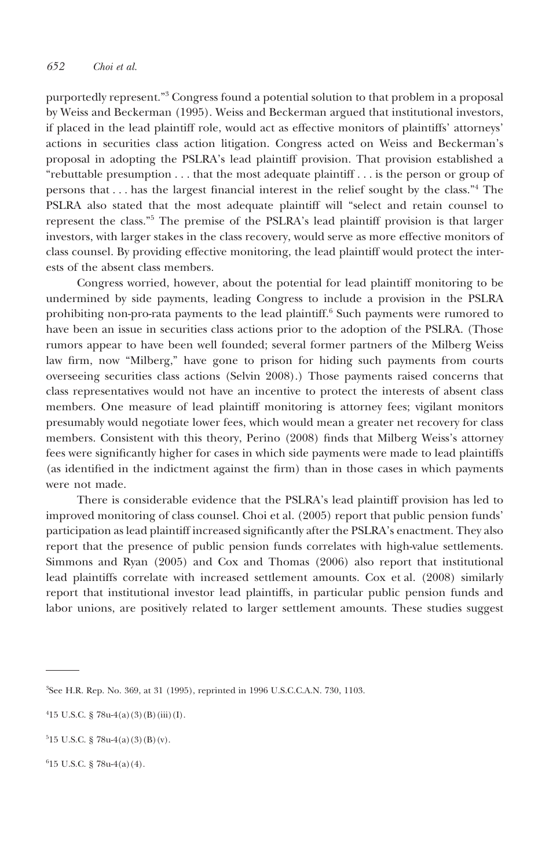purportedly represent."3 Congress found a potential solution to that problem in a proposal by Weiss and Beckerman (1995). Weiss and Beckerman argued that institutional investors, if placed in the lead plaintiff role, would act as effective monitors of plaintiffs' attorneys' actions in securities class action litigation. Congress acted on Weiss and Beckerman's proposal in adopting the PSLRA's lead plaintiff provision. That provision established a "rebuttable presumption . . . that the most adequate plaintiff . . . is the person or group of persons that . . . has the largest financial interest in the relief sought by the class."4 The PSLRA also stated that the most adequate plaintiff will "select and retain counsel to represent the class."5 The premise of the PSLRA's lead plaintiff provision is that larger investors, with larger stakes in the class recovery, would serve as more effective monitors of class counsel. By providing effective monitoring, the lead plaintiff would protect the interests of the absent class members.

Congress worried, however, about the potential for lead plaintiff monitoring to be undermined by side payments, leading Congress to include a provision in the PSLRA prohibiting non-pro-rata payments to the lead plaintiff.<sup>6</sup> Such payments were rumored to have been an issue in securities class actions prior to the adoption of the PSLRA. (Those rumors appear to have been well founded; several former partners of the Milberg Weiss law firm, now "Milberg," have gone to prison for hiding such payments from courts overseeing securities class actions (Selvin 2008).) Those payments raised concerns that class representatives would not have an incentive to protect the interests of absent class members. One measure of lead plaintiff monitoring is attorney fees; vigilant monitors presumably would negotiate lower fees, which would mean a greater net recovery for class members. Consistent with this theory, Perino (2008) finds that Milberg Weiss's attorney fees were significantly higher for cases in which side payments were made to lead plaintiffs (as identified in the indictment against the firm) than in those cases in which payments were not made.

There is considerable evidence that the PSLRA's lead plaintiff provision has led to improved monitoring of class counsel. Choi et al. (2005) report that public pension funds' participation as lead plaintiff increased significantly after the PSLRA's enactment. They also report that the presence of public pension funds correlates with high-value settlements. Simmons and Ryan (2005) and Cox and Thomas (2006) also report that institutional lead plaintiffs correlate with increased settlement amounts. Cox et al. (2008) similarly report that institutional investor lead plaintiffs, in particular public pension funds and labor unions, are positively related to larger settlement amounts. These studies suggest

<sup>3</sup> See H.R. Rep. No. 369, at 31 (1995), reprinted in 1996 U.S.C.C.A.N. 730, 1103.

 $415$  U.S.C. § 78u-4(a)(3)(B)(iii)(I).

 $515$  U.S.C. § 78u-4(a)(3)(B)(v).

 $615$  U.S.C. § 78u-4(a)(4).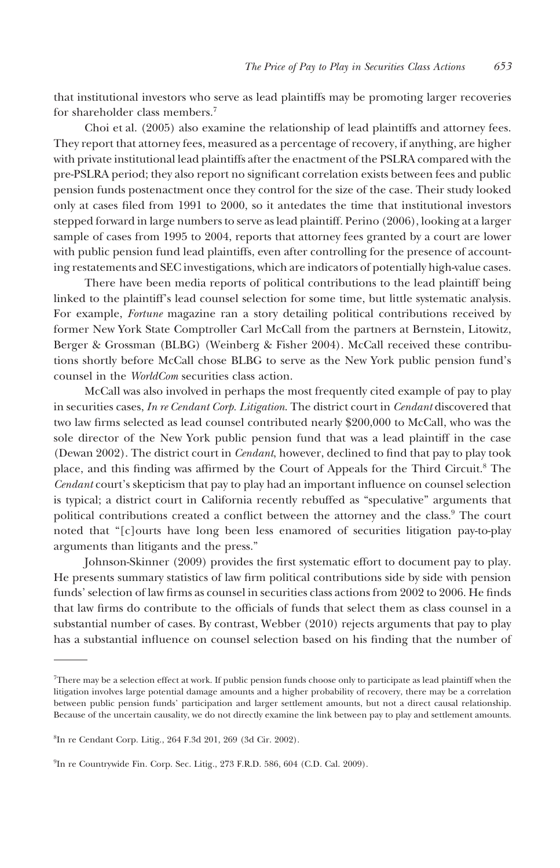that institutional investors who serve as lead plaintiffs may be promoting larger recoveries for shareholder class members.7

Choi et al. (2005) also examine the relationship of lead plaintiffs and attorney fees. They report that attorney fees, measured as a percentage of recovery, if anything, are higher with private institutional lead plaintiffs after the enactment of the PSLRA compared with the pre-PSLRA period; they also report no significant correlation exists between fees and public pension funds postenactment once they control for the size of the case. Their study looked only at cases filed from 1991 to 2000, so it antedates the time that institutional investors stepped forward in large numbers to serve as lead plaintiff. Perino (2006), looking at a larger sample of cases from 1995 to 2004, reports that attorney fees granted by a court are lower with public pension fund lead plaintiffs, even after controlling for the presence of accounting restatements and SEC investigations, which are indicators of potentially high-value cases.

There have been media reports of political contributions to the lead plaintiff being linked to the plaintiff's lead counsel selection for some time, but little systematic analysis. For example, *Fortune* magazine ran a story detailing political contributions received by former New York State Comptroller Carl McCall from the partners at Bernstein, Litowitz, Berger & Grossman (BLBG) (Weinberg & Fisher 2004). McCall received these contributions shortly before McCall chose BLBG to serve as the New York public pension fund's counsel in the *WorldCom* securities class action.

McCall was also involved in perhaps the most frequently cited example of pay to play in securities cases, *In re Cendant Corp. Litigation*. The district court in *Cendant* discovered that two law firms selected as lead counsel contributed nearly \$200,000 to McCall, who was the sole director of the New York public pension fund that was a lead plaintiff in the case (Dewan 2002). The district court in *Cendant*, however, declined to find that pay to play took place, and this finding was affirmed by the Court of Appeals for the Third Circuit.8 The *Cendant* court's skepticism that pay to play had an important influence on counsel selection is typical; a district court in California recently rebuffed as "speculative" arguments that political contributions created a conflict between the attorney and the class.<sup>9</sup> The court noted that "[c]ourts have long been less enamored of securities litigation pay-to-play arguments than litigants and the press."

Johnson-Skinner (2009) provides the first systematic effort to document pay to play. He presents summary statistics of law firm political contributions side by side with pension funds' selection of law firms as counsel in securities class actions from 2002 to 2006. He finds that law firms do contribute to the officials of funds that select them as class counsel in a substantial number of cases. By contrast, Webber (2010) rejects arguments that pay to play has a substantial influence on counsel selection based on his finding that the number of

<sup>7</sup> There may be a selection effect at work. If public pension funds choose only to participate as lead plaintiff when the litigation involves large potential damage amounts and a higher probability of recovery, there may be a correlation between public pension funds' participation and larger settlement amounts, but not a direct causal relationship. Because of the uncertain causality, we do not directly examine the link between pay to play and settlement amounts.

<sup>8</sup> In re Cendant Corp. Litig., 264 F.3d 201, 269 (3d Cir. 2002).

<sup>9</sup> In re Countrywide Fin. Corp. Sec. Litig., 273 F.R.D. 586, 604 (C.D. Cal. 2009).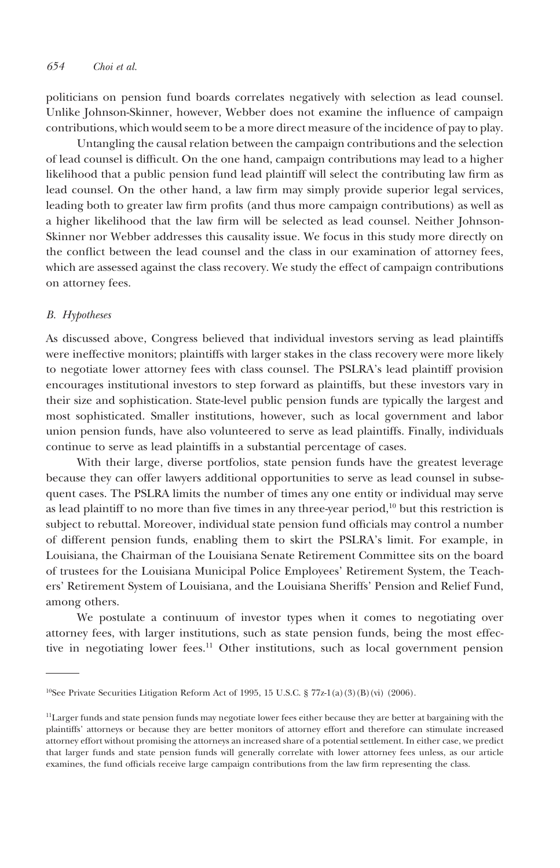politicians on pension fund boards correlates negatively with selection as lead counsel. Unlike Johnson-Skinner, however, Webber does not examine the influence of campaign contributions, which would seem to be a more direct measure of the incidence of pay to play.

Untangling the causal relation between the campaign contributions and the selection of lead counsel is difficult. On the one hand, campaign contributions may lead to a higher likelihood that a public pension fund lead plaintiff will select the contributing law firm as lead counsel. On the other hand, a law firm may simply provide superior legal services, leading both to greater law firm profits (and thus more campaign contributions) as well as a higher likelihood that the law firm will be selected as lead counsel. Neither Johnson-Skinner nor Webber addresses this causality issue. We focus in this study more directly on the conflict between the lead counsel and the class in our examination of attorney fees, which are assessed against the class recovery. We study the effect of campaign contributions on attorney fees.

# *B. Hypotheses*

As discussed above, Congress believed that individual investors serving as lead plaintiffs were ineffective monitors; plaintiffs with larger stakes in the class recovery were more likely to negotiate lower attorney fees with class counsel. The PSLRA's lead plaintiff provision encourages institutional investors to step forward as plaintiffs, but these investors vary in their size and sophistication. State-level public pension funds are typically the largest and most sophisticated. Smaller institutions, however, such as local government and labor union pension funds, have also volunteered to serve as lead plaintiffs. Finally, individuals continue to serve as lead plaintiffs in a substantial percentage of cases.

With their large, diverse portfolios, state pension funds have the greatest leverage because they can offer lawyers additional opportunities to serve as lead counsel in subsequent cases. The PSLRA limits the number of times any one entity or individual may serve as lead plaintiff to no more than five times in any three-year period, $10$  but this restriction is subject to rebuttal. Moreover, individual state pension fund officials may control a number of different pension funds, enabling them to skirt the PSLRA's limit. For example, in Louisiana, the Chairman of the Louisiana Senate Retirement Committee sits on the board of trustees for the Louisiana Municipal Police Employees' Retirement System, the Teachers' Retirement System of Louisiana, and the Louisiana Sheriffs' Pension and Relief Fund, among others.

We postulate a continuum of investor types when it comes to negotiating over attorney fees, with larger institutions, such as state pension funds, being the most effective in negotiating lower fees.<sup>11</sup> Other institutions, such as local government pension

<sup>&</sup>lt;sup>10</sup>See Private Securities Litigation Reform Act of 1995, 15 U.S.C. §  $77z-1(a)(3)(B)(vi)$  (2006).

<sup>&</sup>lt;sup>11</sup>Larger funds and state pension funds may negotiate lower fees either because they are better at bargaining with the plaintiffs' attorneys or because they are better monitors of attorney effort and therefore can stimulate increased attorney effort without promising the attorneys an increased share of a potential settlement. In either case, we predict that larger funds and state pension funds will generally correlate with lower attorney fees unless, as our article examines, the fund officials receive large campaign contributions from the law firm representing the class.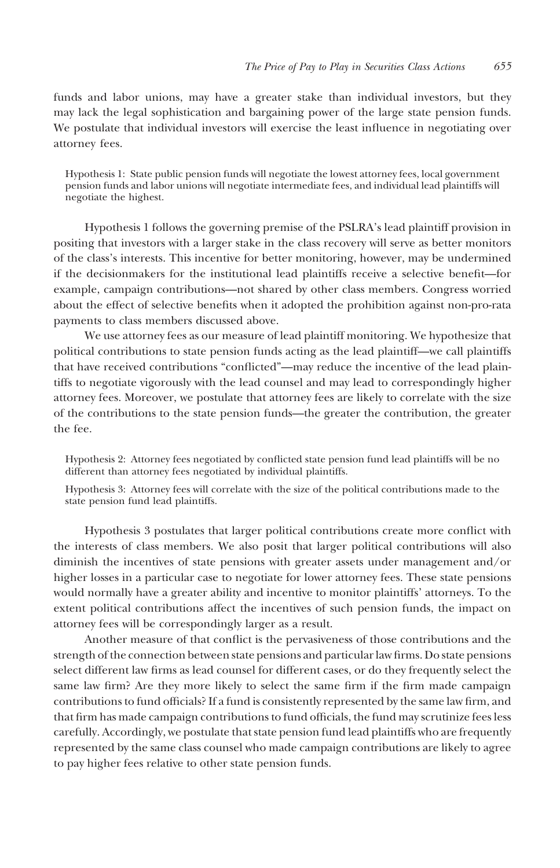funds and labor unions, may have a greater stake than individual investors, but they may lack the legal sophistication and bargaining power of the large state pension funds. We postulate that individual investors will exercise the least influence in negotiating over attorney fees.

Hypothesis 1: State public pension funds will negotiate the lowest attorney fees, local government pension funds and labor unions will negotiate intermediate fees, and individual lead plaintiffs will negotiate the highest.

Hypothesis 1 follows the governing premise of the PSLRA's lead plaintiff provision in positing that investors with a larger stake in the class recovery will serve as better monitors of the class's interests. This incentive for better monitoring, however, may be undermined if the decisionmakers for the institutional lead plaintiffs receive a selective benefit—for example, campaign contributions—not shared by other class members. Congress worried about the effect of selective benefits when it adopted the prohibition against non-pro-rata payments to class members discussed above.

We use attorney fees as our measure of lead plaintiff monitoring. We hypothesize that political contributions to state pension funds acting as the lead plaintiff—we call plaintiffs that have received contributions "conflicted"—may reduce the incentive of the lead plaintiffs to negotiate vigorously with the lead counsel and may lead to correspondingly higher attorney fees. Moreover, we postulate that attorney fees are likely to correlate with the size of the contributions to the state pension funds—the greater the contribution, the greater the fee.

Hypothesis 2: Attorney fees negotiated by conflicted state pension fund lead plaintiffs will be no different than attorney fees negotiated by individual plaintiffs.

Hypothesis 3: Attorney fees will correlate with the size of the political contributions made to the state pension fund lead plaintiffs.

Hypothesis 3 postulates that larger political contributions create more conflict with the interests of class members. We also posit that larger political contributions will also diminish the incentives of state pensions with greater assets under management and/or higher losses in a particular case to negotiate for lower attorney fees. These state pensions would normally have a greater ability and incentive to monitor plaintiffs' attorneys. To the extent political contributions affect the incentives of such pension funds, the impact on attorney fees will be correspondingly larger as a result.

Another measure of that conflict is the pervasiveness of those contributions and the strength of the connection between state pensions and particular law firms. Do state pensions select different law firms as lead counsel for different cases, or do they frequently select the same law firm? Are they more likely to select the same firm if the firm made campaign contributions to fund officials? If a fund is consistently represented by the same law firm, and that firm has made campaign contributions to fund officials, the fund may scrutinize fees less carefully. Accordingly, we postulate that state pension fund lead plaintiffs who are frequently represented by the same class counsel who made campaign contributions are likely to agree to pay higher fees relative to other state pension funds.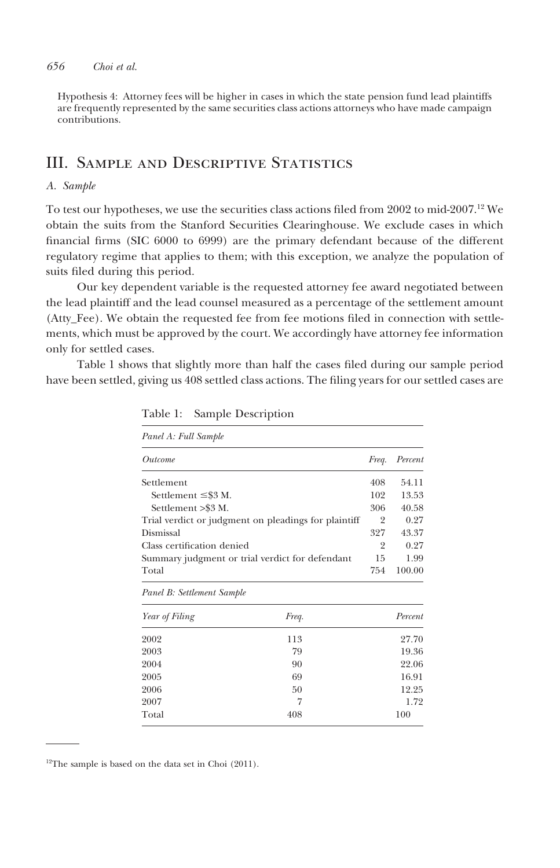Hypothesis 4: Attorney fees will be higher in cases in which the state pension fund lead plaintiffs are frequently represented by the same securities class actions attorneys who have made campaign contributions.

# III. Sample and Descriptive Statistics

# *A. Sample*

To test our hypotheses, we use the securities class actions filed from 2002 to mid-2007.<sup>12</sup> We obtain the suits from the Stanford Securities Clearinghouse. We exclude cases in which financial firms (SIC 6000 to 6999) are the primary defendant because of the different regulatory regime that applies to them; with this exception, we analyze the population of suits filed during this period.

Our key dependent variable is the requested attorney fee award negotiated between the lead plaintiff and the lead counsel measured as a percentage of the settlement amount (Atty\_Fee). We obtain the requested fee from fee motions filed in connection with settlements, which must be approved by the court. We accordingly have attorney fee information only for settled cases.

Table 1 shows that slightly more than half the cases filed during our sample period have been settled, giving us 408 settled class actions. The filing years for our settled cases are

| Panel A: Full Sample       |                                                      |                |         |
|----------------------------|------------------------------------------------------|----------------|---------|
| Outcome                    |                                                      | Freq.          | Percent |
| Settlement                 |                                                      | 408            | 54.11   |
| Settlement $\leq$ \$3 M.   |                                                      | 102            | 13.53   |
| Settlement >\$3 M.         |                                                      | 306            | 40.58   |
|                            | Trial verdict or judgment on pleadings for plaintiff | $\overline{2}$ | 0.27    |
| Dismissal                  |                                                      | 327            | 43.37   |
| Class certification denied |                                                      | $\overline{2}$ | 0.27    |
|                            | Summary judgment or trial verdict for defendant      | 15             | 1.99    |
| Total                      |                                                      | 754            | 100.00  |
| Panel B: Settlement Sample |                                                      |                |         |
| Year of Filing             | Freq.                                                |                | Percent |
| 2002                       | 113                                                  |                | 27.70   |
| 2003                       | 79                                                   |                | 19.36   |
| 2004                       | 90                                                   |                | 22.06   |
| 2005                       | 69                                                   |                | 16.91   |
| 2006                       | 50                                                   |                | 12.25   |
| 2007                       | 7                                                    |                | 1.72    |
| Total                      | 408                                                  |                | 100     |

Table 1: Sample Description

 $12$ The sample is based on the data set in Choi (2011).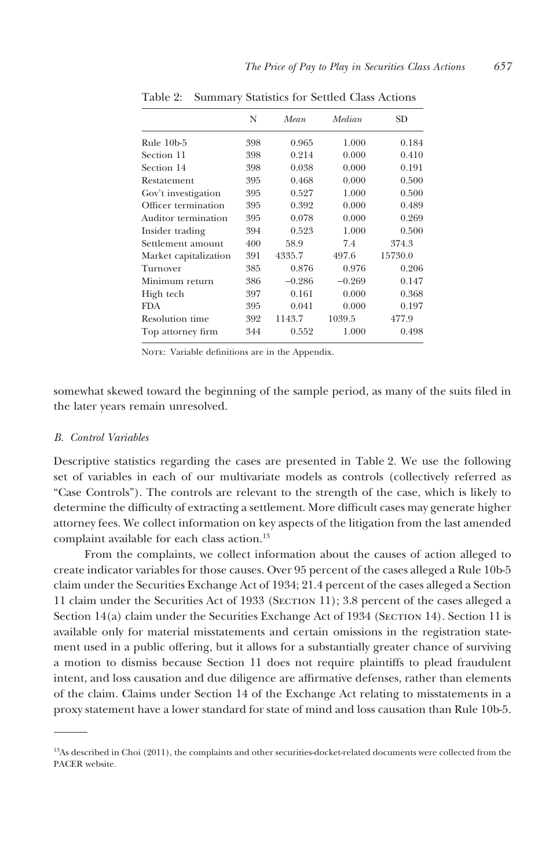|                       | N   | Mean     | Median   | <b>SD</b> |
|-----------------------|-----|----------|----------|-----------|
| Rule $10b-5$          | 398 | 0.965    | 1.000    | 0.184     |
| Section 11            | 398 | 0.214    | 0.000    | 0.410     |
| Section 14            | 398 | 0.038    | 0.000    | 0.191     |
| Restatement           | 395 | 0.468    | 0.000    | 0.500     |
| Gov't investigation   | 395 | 0.527    | 1.000    | 0.500     |
| Officer termination   | 395 | 0.392    | 0.000    | 0.489     |
| Auditor termination   | 395 | 0.078    | 0.000    | 0.269     |
| Insider trading       | 394 | 0.523    | 1.000    | 0.500     |
| Settlement amount     | 400 | 58.9     | 7.4      | 374.3     |
| Market capitalization | 391 | 4335.7   | 497.6    | 15730.0   |
| Turnover              | 385 | 0.876    | 0.976    | 0.206     |
| Minimum return        | 386 | $-0.286$ | $-0.269$ | 0.147     |
| High tech             | 397 | 0.161    | 0.000    | 0.368     |
| <b>FDA</b>            | 395 | 0.041    | 0.000    | 0.197     |
| Resolution time       | 392 | 1143.7   | 1039.5   | 477.9     |
| Top attorney firm     | 344 | 0.552    | 1.000    | 0.498     |
|                       |     |          |          |           |

Table 2: Summary Statistics for Settled Class Actions

NOTE: Variable definitions are in the Appendix.

somewhat skewed toward the beginning of the sample period, as many of the suits filed in the later years remain unresolved.

### *B. Control Variables*

Descriptive statistics regarding the cases are presented in Table 2. We use the following set of variables in each of our multivariate models as controls (collectively referred as "Case Controls"). The controls are relevant to the strength of the case, which is likely to determine the difficulty of extracting a settlement. More difficult cases may generate higher attorney fees. We collect information on key aspects of the litigation from the last amended complaint available for each class action.<sup>13</sup>

From the complaints, we collect information about the causes of action alleged to create indicator variables for those causes. Over 95 percent of the cases alleged a Rule 10b-5 claim under the Securities Exchange Act of 1934; 21.4 percent of the cases alleged a Section 11 claim under the Securities Act of 1933 (Section 11); 3.8 percent of the cases alleged a Section 14(a) claim under the Securities Exchange Act of 1934 (Section 14). Section 11 is available only for material misstatements and certain omissions in the registration statement used in a public offering, but it allows for a substantially greater chance of surviving a motion to dismiss because Section 11 does not require plaintiffs to plead fraudulent intent, and loss causation and due diligence are affirmative defenses, rather than elements of the claim. Claims under Section 14 of the Exchange Act relating to misstatements in a proxy statement have a lower standard for state of mind and loss causation than Rule 10b-5.

 $13$ As described in Choi (2011), the complaints and other securities-docket-related documents were collected from the PACER website.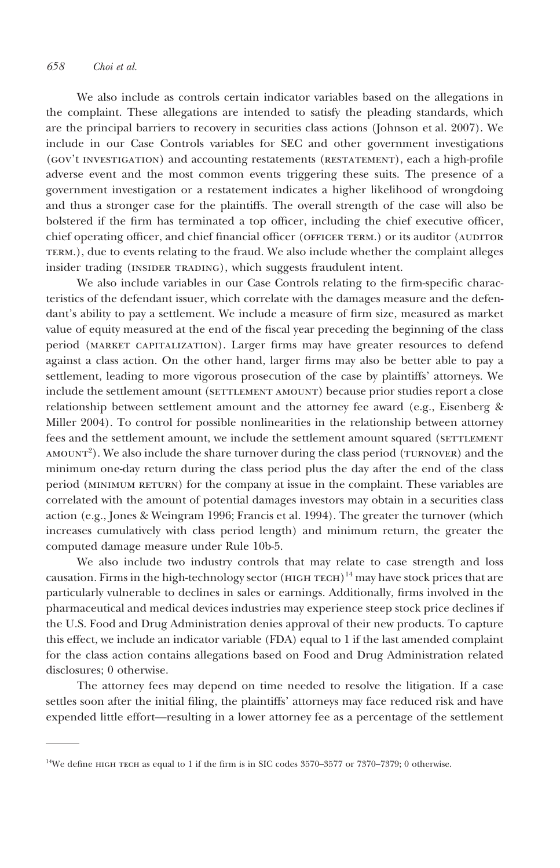We also include as controls certain indicator variables based on the allegations in the complaint. These allegations are intended to satisfy the pleading standards, which are the principal barriers to recovery in securities class actions (Johnson et al. 2007). We include in our Case Controls variables for SEC and other government investigations (gov't investigation) and accounting restatements (restatement), each a high-profile adverse event and the most common events triggering these suits. The presence of a government investigation or a restatement indicates a higher likelihood of wrongdoing and thus a stronger case for the plaintiffs. The overall strength of the case will also be bolstered if the firm has terminated a top officer, including the chief executive officer, chief operating officer, and chief financial officer (OFFICER TERM.) or its auditor (AUDITOR term.), due to events relating to the fraud. We also include whether the complaint alleges insider trading (insider trading), which suggests fraudulent intent.

We also include variables in our Case Controls relating to the firm-specific characteristics of the defendant issuer, which correlate with the damages measure and the defendant's ability to pay a settlement. We include a measure of firm size, measured as market value of equity measured at the end of the fiscal year preceding the beginning of the class period (MARKET CAPITALIZATION). Larger firms may have greater resources to defend against a class action. On the other hand, larger firms may also be better able to pay a settlement, leading to more vigorous prosecution of the case by plaintiffs' attorneys. We include the settlement amount (settlement amount) because prior studies report a close relationship between settlement amount and the attorney fee award (e.g., Eisenberg & Miller 2004). To control for possible nonlinearities in the relationship between attorney fees and the settlement amount, we include the settlement amount squared (SETTLEMENT  $\text{AMOUNT}^2$ ). We also include the share turnover during the class period (TURNOVER) and the minimum one-day return during the class period plus the day after the end of the class period (MINIMUM RETURN) for the company at issue in the complaint. These variables are correlated with the amount of potential damages investors may obtain in a securities class action (e.g., Jones & Weingram 1996; Francis et al. 1994). The greater the turnover (which increases cumulatively with class period length) and minimum return, the greater the computed damage measure under Rule 10b-5.

We also include two industry controls that may relate to case strength and loss causation. Firms in the high-technology sector (high tech)14 may have stock prices that are particularly vulnerable to declines in sales or earnings. Additionally, firms involved in the pharmaceutical and medical devices industries may experience steep stock price declines if the U.S. Food and Drug Administration denies approval of their new products. To capture this effect, we include an indicator variable (FDA) equal to 1 if the last amended complaint for the class action contains allegations based on Food and Drug Administration related disclosures; 0 otherwise.

The attorney fees may depend on time needed to resolve the litigation. If a case settles soon after the initial filing, the plaintiffs' attorneys may face reduced risk and have expended little effort—resulting in a lower attorney fee as a percentage of the settlement

<sup>&</sup>lt;sup>14</sup>We define HIGH TECH as equal to 1 if the firm is in SIC codes  $3570-3577$  or  $7370-7379$ ; 0 otherwise.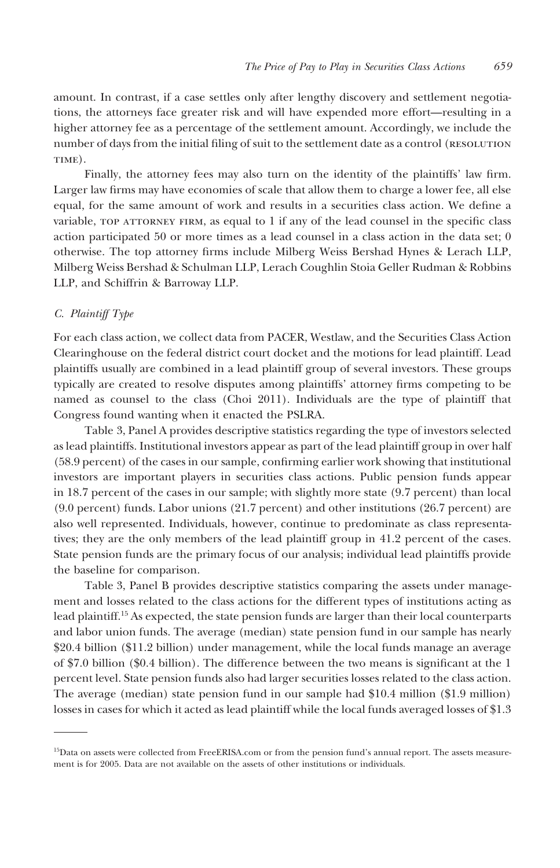amount. In contrast, if a case settles only after lengthy discovery and settlement negotiations, the attorneys face greater risk and will have expended more effort—resulting in a higher attorney fee as a percentage of the settlement amount. Accordingly, we include the number of days from the initial filing of suit to the settlement date as a control (RESOLUTION time).

Finally, the attorney fees may also turn on the identity of the plaintiffs' law firm. Larger law firms may have economies of scale that allow them to charge a lower fee, all else equal, for the same amount of work and results in a securities class action. We define a variable,  $\text{top}$  attorney firm, as equal to 1 if any of the lead counsel in the specific class action participated 50 or more times as a lead counsel in a class action in the data set; 0 otherwise. The top attorney firms include Milberg Weiss Bershad Hynes & Lerach LLP, Milberg Weiss Bershad & Schulman LLP, Lerach Coughlin Stoia Geller Rudman & Robbins LLP, and Schiffrin & Barroway LLP.

# *C. Plaintiff Type*

For each class action, we collect data from PACER, Westlaw, and the Securities Class Action Clearinghouse on the federal district court docket and the motions for lead plaintiff. Lead plaintiffs usually are combined in a lead plaintiff group of several investors. These groups typically are created to resolve disputes among plaintiffs' attorney firms competing to be named as counsel to the class (Choi 2011). Individuals are the type of plaintiff that Congress found wanting when it enacted the PSLRA.

Table 3, Panel A provides descriptive statistics regarding the type of investors selected as lead plaintiffs. Institutional investors appear as part of the lead plaintiff group in over half (58.9 percent) of the cases in our sample, confirming earlier work showing that institutional investors are important players in securities class actions. Public pension funds appear in 18.7 percent of the cases in our sample; with slightly more state (9.7 percent) than local (9.0 percent) funds. Labor unions (21.7 percent) and other institutions (26.7 percent) are also well represented. Individuals, however, continue to predominate as class representatives; they are the only members of the lead plaintiff group in 41.2 percent of the cases. State pension funds are the primary focus of our analysis; individual lead plaintiffs provide the baseline for comparison.

Table 3, Panel B provides descriptive statistics comparing the assets under management and losses related to the class actions for the different types of institutions acting as lead plaintiff.15 As expected, the state pension funds are larger than their local counterparts and labor union funds. The average (median) state pension fund in our sample has nearly \$20.4 billion (\$11.2 billion) under management, while the local funds manage an average of \$7.0 billion (\$0.4 billion). The difference between the two means is significant at the 1 percent level. State pension funds also had larger securities losses related to the class action. The average (median) state pension fund in our sample had \$10.4 million (\$1.9 million) losses in cases for which it acted as lead plaintiff while the local funds averaged losses of \$1.3

<sup>&</sup>lt;sup>15</sup>Data on assets were collected from FreeERISA.com or from the pension fund's annual report. The assets measurement is for 2005. Data are not available on the assets of other institutions or individuals.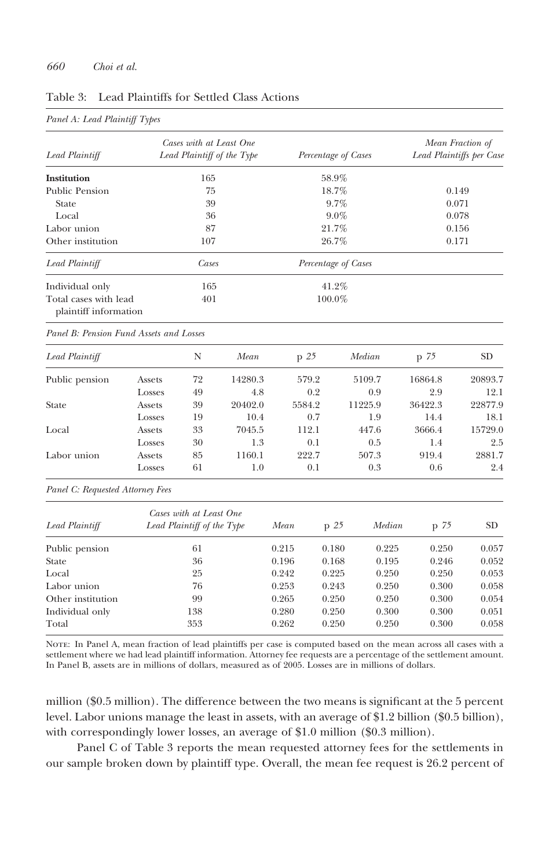| Panel A: Lead Plaintiff Types                  |        |                                                       |         |        |                     |         |                                              |           |
|------------------------------------------------|--------|-------------------------------------------------------|---------|--------|---------------------|---------|----------------------------------------------|-----------|
| Lead Plaintiff                                 |        | Cases with at Least One<br>Lead Plaintiff of the Type |         |        | Percentage of Cases |         | Mean Fraction of<br>Lead Plaintiffs per Case |           |
| <b>Institution</b>                             |        | 165                                                   |         |        | 58.9%               |         |                                              |           |
| <b>Public Pension</b>                          |        | 75                                                    |         |        | 18.7%               |         | 0.149                                        |           |
| State                                          |        | 39                                                    |         |        | 9.7%                |         | 0.071                                        |           |
| Local                                          |        | 36                                                    |         |        | 9.0%                |         | 0.078                                        |           |
| Labor union                                    |        | 87                                                    |         |        | 21.7%               |         | 0.156                                        |           |
| Other institution                              |        | 107                                                   |         |        | 26.7%               |         | 0.171                                        |           |
| Lead Plaintiff                                 |        | Cases                                                 |         |        | Percentage of Cases |         |                                              |           |
| Individual only                                |        | 165                                                   |         |        | 41.2%               |         |                                              |           |
| Total cases with lead<br>plaintiff information |        | 401                                                   |         |        | 100.0%              |         |                                              |           |
| Panel B: Pension Fund Assets and Losses        |        |                                                       |         |        |                     |         |                                              |           |
| <b>Lead Plaintiff</b>                          |        | N                                                     | Mean    | p 25   |                     | Median  | p 75                                         | <b>SD</b> |
| Public pension                                 | Assets | 72                                                    | 14280.3 |        | 579.2               | 5109.7  | 16864.8                                      | 20893.7   |
|                                                | Losses | 49                                                    | 4.8     |        | 0.2                 | 0.9     | 2.9                                          | 12.1      |
| <b>State</b>                                   | Assets | 39                                                    | 20402.0 | 5584.2 |                     | 11225.9 | 36422.3                                      | 22877.9   |
|                                                | Losses | 19                                                    | 10.4    |        | 0.7                 | 1.9     | 14.4                                         | 18.1      |
| Local                                          | Assets | 33                                                    | 7045.5  |        | 112.1               | 447.6   | 3666.4                                       | 15729.0   |
|                                                | Losses | 30                                                    | 1.3     |        | 0.1                 | 0.5     | 1.4                                          | 2.5       |
| Labor union                                    | Assets | 85                                                    | 1160.1  |        | 222.7               | 507.3   | 919.4                                        | 2881.7    |
|                                                | Losses | 61                                                    | 1.0     |        | 0.1                 | 0.3     | 0.6                                          | 2.4       |
| Panel C: Requested Attorney Fees               |        |                                                       |         |        |                     |         |                                              |           |
|                                                |        | Cases with at Least One                               |         |        |                     |         |                                              |           |
| Lead Plaintiff                                 |        | Lead Plaintiff of the Type                            |         | Mean   | p 25                | Median  | p 75                                         | SD        |
| Public pension                                 |        | 61                                                    |         | 0.215  | 0.180               | 0.225   | 0.250                                        | 0.057     |
| State                                          |        | 36                                                    |         | 0.196  | 0.168               | 0.195   | 0.246                                        | 0.052     |
| Local                                          |        | 25                                                    |         | 0.242  | 0.225               | 0.250   | 0.250                                        | 0.053     |
| Labor union                                    |        | 76                                                    |         | 0.253  | 0.243               | 0.250   | 0.300                                        | 0.058     |
| Other institution                              |        | 99                                                    |         | 0.265  | 0.250               | 0.250   | 0.300                                        | 0.054     |
| Individual only                                |        | 138                                                   |         | 0.280  | 0.250               | 0.300   | 0.300                                        | 0.051     |
| Total                                          |        | 353                                                   |         | 0.262  | 0.250               | 0.250   | 0.300                                        | 0.058     |

# Table 3: Lead Plaintiffs for Settled Class Actions

NOTE: In Panel A, mean fraction of lead plaintiffs per case is computed based on the mean across all cases with a settlement where we had lead plaintiff information. Attorney fee requests are a percentage of the settlement amount. In Panel B, assets are in millions of dollars, measured as of 2005. Losses are in millions of dollars.

million (\$0.5 million). The difference between the two means is significant at the 5 percent level. Labor unions manage the least in assets, with an average of \$1.2 billion (\$0.5 billion), with correspondingly lower losses, an average of \$1.0 million (\$0.3 million).

Panel C of Table 3 reports the mean requested attorney fees for the settlements in our sample broken down by plaintiff type. Overall, the mean fee request is 26.2 percent of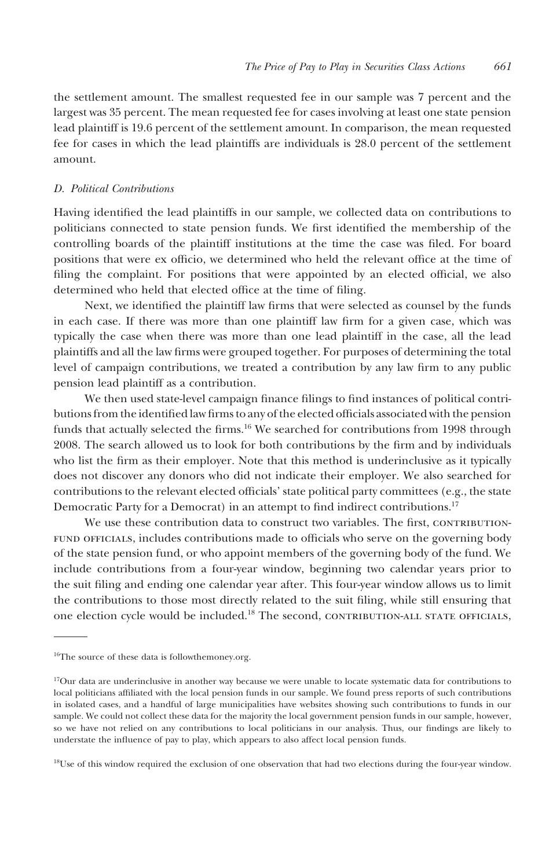the settlement amount. The smallest requested fee in our sample was 7 percent and the largest was 35 percent. The mean requested fee for cases involving at least one state pension lead plaintiff is 19.6 percent of the settlement amount. In comparison, the mean requested fee for cases in which the lead plaintiffs are individuals is 28.0 percent of the settlement amount.

### *D. Political Contributions*

Having identified the lead plaintiffs in our sample, we collected data on contributions to politicians connected to state pension funds. We first identified the membership of the controlling boards of the plaintiff institutions at the time the case was filed. For board positions that were ex officio, we determined who held the relevant office at the time of filing the complaint. For positions that were appointed by an elected official, we also determined who held that elected office at the time of filing.

Next, we identified the plaintiff law firms that were selected as counsel by the funds in each case. If there was more than one plaintiff law firm for a given case, which was typically the case when there was more than one lead plaintiff in the case, all the lead plaintiffs and all the law firms were grouped together. For purposes of determining the total level of campaign contributions, we treated a contribution by any law firm to any public pension lead plaintiff as a contribution.

We then used state-level campaign finance filings to find instances of political contributions from the identified law firms to any of the elected officials associated with the pension funds that actually selected the firms.<sup>16</sup> We searched for contributions from 1998 through 2008. The search allowed us to look for both contributions by the firm and by individuals who list the firm as their employer. Note that this method is underinclusive as it typically does not discover any donors who did not indicate their employer. We also searched for contributions to the relevant elected officials' state political party committees (e.g., the state Democratic Party for a Democrat) in an attempt to find indirect contributions.17

We use these contribution data to construct two variables. The first, CONTRIBUTIONfund officials, includes contributions made to officials who serve on the governing body of the state pension fund, or who appoint members of the governing body of the fund. We include contributions from a four-year window, beginning two calendar years prior to the suit filing and ending one calendar year after. This four-year window allows us to limit the contributions to those most directly related to the suit filing, while still ensuring that one election cycle would be included.<sup>18</sup> The second, CONTRIBUTION-ALL STATE OFFICIALS,

<sup>18</sup>Use of this window required the exclusion of one observation that had two elections during the four-year window.

<sup>&</sup>lt;sup>16</sup>The source of these data is followthemoney.org.

 $17$ Our data are underinclusive in another way because we were unable to locate systematic data for contributions to local politicians affiliated with the local pension funds in our sample. We found press reports of such contributions in isolated cases, and a handful of large municipalities have websites showing such contributions to funds in our sample. We could not collect these data for the majority the local government pension funds in our sample, however, so we have not relied on any contributions to local politicians in our analysis. Thus, our findings are likely to understate the influence of pay to play, which appears to also affect local pension funds.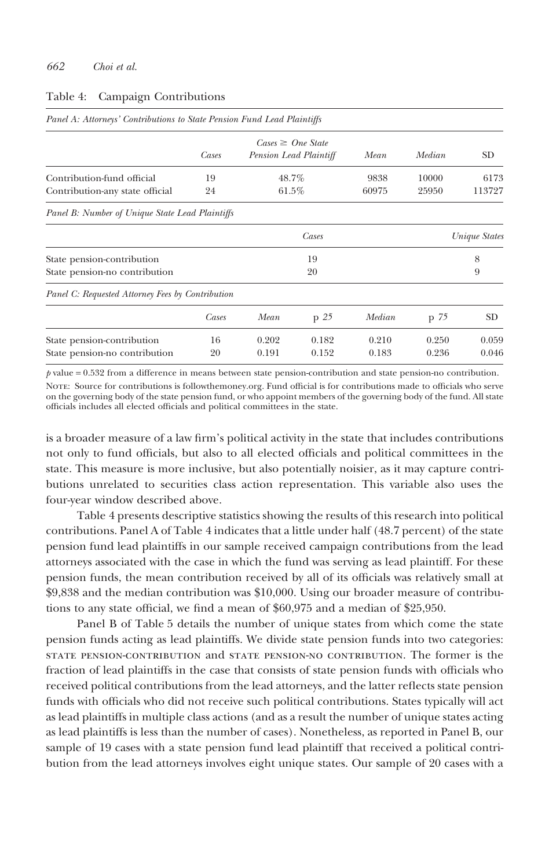| Panel A: Attorneys' Contributions to State Pension Fund Lead Plaintiffs |       |                                                                       |       |        |        |                      |
|-------------------------------------------------------------------------|-------|-----------------------------------------------------------------------|-------|--------|--------|----------------------|
|                                                                         | Cases | $\textit{Case}$ $\geq$ $\textit{One State}$<br>Pension Lead Plaintiff |       | Mean   | Median | <b>SD</b>            |
| Contribution-fund official                                              | 19    | 48.7%                                                                 |       | 9838   | 10000  | 6173                 |
| Contribution-any state official                                         | 24    | $61.5\%$                                                              |       | 60975  | 25950  | 113727               |
| Panel B: Number of Unique State Lead Plaintiffs                         |       |                                                                       |       |        |        |                      |
|                                                                         |       |                                                                       | Cases |        |        | <b>Unique States</b> |
| State pension-contribution                                              |       |                                                                       | 19    |        |        | 8                    |
| State pension-no contribution                                           |       | 20                                                                    |       |        |        | 9                    |
| Panel C: Requested Attorney Fees by Contribution                        |       |                                                                       |       |        |        |                      |
|                                                                         | Cases | Mean                                                                  | p 25  | Median | p 75   | <b>SD</b>            |
| State pension-contribution                                              | 16    | 0.202                                                                 | 0.182 | 0.210  | 0.250  | 0.059                |
| State pension-no contribution                                           | 20    | 0.191                                                                 | 0.152 | 0.183  | 0.236  | 0.046                |

#### Table 4: Campaign Contributions

*p* value = 0.532 from a difference in means between state pension-contribution and state pension-no contribution. NOTE: Source for contributions is followthemoney.org. Fund official is for contributions made to officials who serve on the governing body of the state pension fund, or who appoint members of the governing body of the fund. All state officials includes all elected officials and political committees in the state.

is a broader measure of a law firm's political activity in the state that includes contributions not only to fund officials, but also to all elected officials and political committees in the state. This measure is more inclusive, but also potentially noisier, as it may capture contributions unrelated to securities class action representation. This variable also uses the four-year window described above.

Table 4 presents descriptive statistics showing the results of this research into political contributions. Panel A of Table 4 indicates that a little under half (48.7 percent) of the state pension fund lead plaintiffs in our sample received campaign contributions from the lead attorneys associated with the case in which the fund was serving as lead plaintiff. For these pension funds, the mean contribution received by all of its officials was relatively small at \$9,838 and the median contribution was \$10,000. Using our broader measure of contributions to any state official, we find a mean of \$60,975 and a median of \$25,950.

Panel B of Table 5 details the number of unique states from which come the state pension funds acting as lead plaintiffs. We divide state pension funds into two categories: state pension-contribution and state pension-no contribution. The former is the fraction of lead plaintiffs in the case that consists of state pension funds with officials who received political contributions from the lead attorneys, and the latter reflects state pension funds with officials who did not receive such political contributions. States typically will act as lead plaintiffs in multiple class actions (and as a result the number of unique states acting as lead plaintiffs is less than the number of cases). Nonetheless, as reported in Panel B, our sample of 19 cases with a state pension fund lead plaintiff that received a political contribution from the lead attorneys involves eight unique states. Our sample of 20 cases with a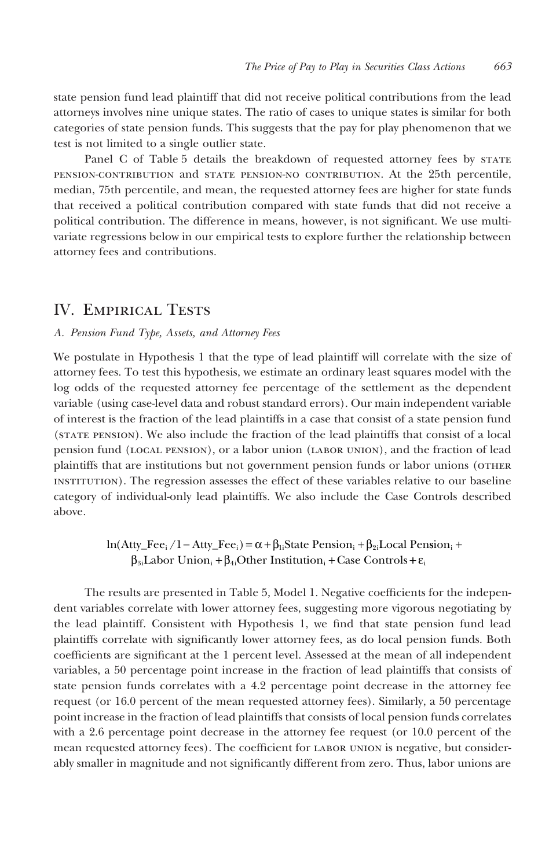state pension fund lead plaintiff that did not receive political contributions from the lead attorneys involves nine unique states. The ratio of cases to unique states is similar for both categories of state pension funds. This suggests that the pay for play phenomenon that we test is not limited to a single outlier state.

Panel C of Table 5 details the breakdown of requested attorney fees by STATE pension-contribution and state pension-no contribution. At the 25th percentile, median, 75th percentile, and mean, the requested attorney fees are higher for state funds that received a political contribution compared with state funds that did not receive a political contribution. The difference in means, however, is not significant. We use multivariate regressions below in our empirical tests to explore further the relationship between attorney fees and contributions.

# IV. EMPIRICAL TESTS

# *A. Pension Fund Type, Assets, and Attorney Fees*

We postulate in Hypothesis 1 that the type of lead plaintiff will correlate with the size of attorney fees. To test this hypothesis, we estimate an ordinary least squares model with the log odds of the requested attorney fee percentage of the settlement as the dependent variable (using case-level data and robust standard errors). Our main independent variable of interest is the fraction of the lead plaintiffs in a case that consist of a state pension fund (state pension). We also include the fraction of the lead plaintiffs that consist of a local pension fund (local pension), or a labor union (labor union), and the fraction of lead plaintiffs that are institutions but not government pension funds or labor unions (OTHER institution). The regression assesses the effect of these variables relative to our baseline category of individual-only lead plaintiffs. We also include the Case Controls described above.

> ln(Atty\_Fee $_{\rm i}$  / 1 – Atty\_Fee $_{\rm i}$ ) =  $\alpha$  +  $\beta_{\rm li}$ State Pension $_{\rm i}$  +  $\beta_{\rm 2i}$ Local Pension $_{\rm i}$  +  $\beta_{3i}$ Labor Union $_{i} + \beta_{4i}$ Other Institution $_{i} +$ Case Controls +  $\varepsilon_{i}$

The results are presented in Table 5, Model 1. Negative coefficients for the independent variables correlate with lower attorney fees, suggesting more vigorous negotiating by the lead plaintiff. Consistent with Hypothesis 1, we find that state pension fund lead plaintiffs correlate with significantly lower attorney fees, as do local pension funds. Both coefficients are significant at the 1 percent level. Assessed at the mean of all independent variables, a 50 percentage point increase in the fraction of lead plaintiffs that consists of state pension funds correlates with a 4.2 percentage point decrease in the attorney fee request (or 16.0 percent of the mean requested attorney fees). Similarly, a 50 percentage point increase in the fraction of lead plaintiffs that consists of local pension funds correlates with a 2.6 percentage point decrease in the attorney fee request (or 10.0 percent of the mean requested attorney fees). The coefficient for labor union is negative, but considerably smaller in magnitude and not significantly different from zero. Thus, labor unions are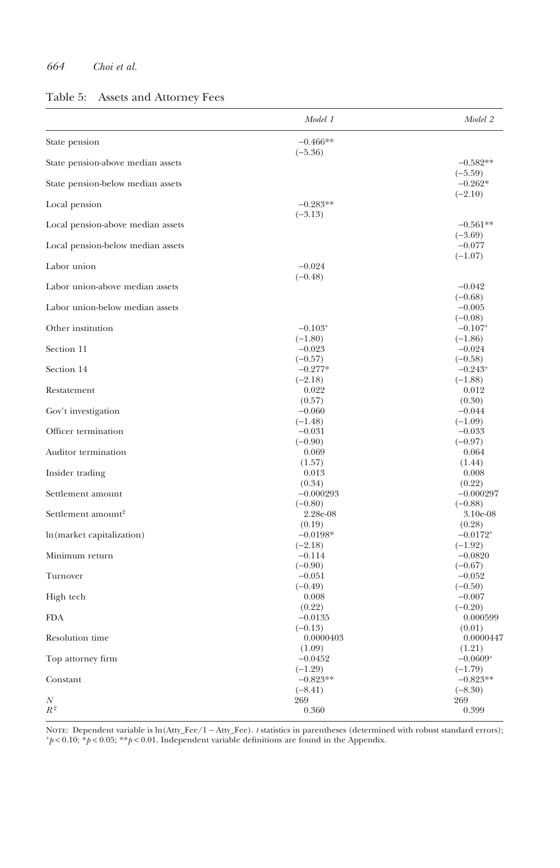# Table 5: Assets and Attorney Fees

|                                   | Model 1                 | Model 2                 |
|-----------------------------------|-------------------------|-------------------------|
| State pension                     | $-0.466**$              |                         |
| State pension-above median assets | $(-5.36)$               | $-0.582**$              |
| State pension-below median assets |                         | $(-5.59)$<br>$-0.262*$  |
|                                   |                         | $(-2.10)$               |
| Local pension                     | $-0.283**$<br>$(-3.13)$ |                         |
| Local pension-above median assets |                         | $-0.561**$              |
| Local pension-below median assets |                         | $(-3.69)$<br>$-0.077$   |
|                                   |                         | $(-1.07)$               |
| Labor union                       | $-0.024$                |                         |
|                                   | $(-0.48)$               |                         |
| Labor union-above median assets   |                         | $-0.042$                |
| Labor union-below median assets   |                         | $(-0.68)$<br>$-0.005$   |
|                                   |                         | $(-0.08)$               |
| Other institution                 | $-0.103$ <sup>+</sup>   | $-0.107$ <sup>+</sup>   |
|                                   | $(-1.80)$               | $(-1.86)$               |
| Section 11                        | $-0.023$                | $-0.024$                |
|                                   | $(-0.57)$               | $(-0.58)$               |
| Section 14                        | $-0.277*$               | $-0.243$ <sup>+</sup>   |
|                                   | $(-2.18)$               | $(-1.88)$               |
| Restatement                       | 0.022                   | 0.012                   |
|                                   | (0.57)                  | (0.30)                  |
| Gov't investigation               | $-0.060$                | $-0.044$                |
|                                   | $(-1.48)$               | $(-1.09)$               |
| Officer termination               | $-0.031$                | $-0.033$                |
|                                   | $(-0.90)$               | $(-0.97)$               |
| Auditor termination               | 0.069                   | 0.064                   |
|                                   | (1.57)                  | (1.44)                  |
| Insider trading                   | 0.013                   | 0.008                   |
| Settlement amount                 | (0.34)<br>$-0.000293$   | (0.22)                  |
|                                   |                         | $-0.000297$             |
| Settlement amount <sup>2</sup>    | $(-0.80)$<br>2.28e-08   | $(-0.88)$<br>$3.10e-08$ |
|                                   | (0.19)                  | (0.28)                  |
| In(market capitalization)         | $-0.0198*$              | $-0.0172^{+}$           |
|                                   | $(-2.18)$               | $(-1.92)$               |
| Minimum return                    | $-0.114$                | $-0.0820$               |
|                                   | $(-0.90)$               | $(-0.67)$               |
| Turnover                          | $-0.051$                | $-0.052$                |
|                                   | $(-0.49)$               | $(-0.50)$               |
| High tech                         | 0.008                   | $-0.007$                |
|                                   | (0.22)                  | $(-0.20)$               |
| <b>FDA</b>                        | $-0.0135$               | 0.000599                |
|                                   | $(-0.13)$               | (0.01)                  |
| Resolution time                   | 0.0000403               | 0.0000447               |
|                                   | (1.09)                  | (1.21)                  |
| Top attorney firm                 | $-0.0452$               | $-0.0609$ <sup>+</sup>  |
|                                   | $(-1.29)$               | $(-1.79)$               |
| Constant                          | $-0.823**$              | $-0.823**$              |
| N                                 | $(-8.41)$<br>269        | $(-8.30)$<br>269        |
| $R^2$                             | 0.360                   | 0.399                   |
|                                   |                         |                         |

NOTE: Dependent variable is  $\ln(Atty\_\text{Fe}/1 - Atty\_\text{Fe})$ . *t* statistics in parentheses (determined with robust standard errors);  $\frac{1}{2}b < 0.10$ ;  $\frac{1}{2}b < 0.05$ ;  $\frac{1}{2}b < 0.01$ . Independent variable definitions are found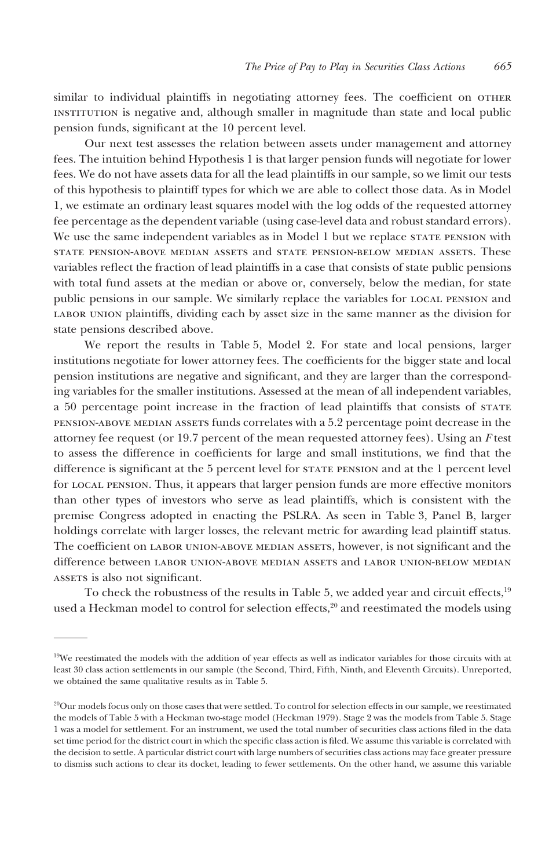similar to individual plaintiffs in negotiating attorney fees. The coefficient on OTHER institution is negative and, although smaller in magnitude than state and local public pension funds, significant at the 10 percent level.

Our next test assesses the relation between assets under management and attorney fees. The intuition behind Hypothesis 1 is that larger pension funds will negotiate for lower fees. We do not have assets data for all the lead plaintiffs in our sample, so we limit our tests of this hypothesis to plaintiff types for which we are able to collect those data. As in Model 1, we estimate an ordinary least squares model with the log odds of the requested attorney fee percentage as the dependent variable (using case-level data and robust standard errors). We use the same independent variables as in Model 1 but we replace state pension with state pension-above median assets and state pension-below median assets. These variables reflect the fraction of lead plaintiffs in a case that consists of state public pensions with total fund assets at the median or above or, conversely, below the median, for state public pensions in our sample. We similarly replace the variables for local pension and labor union plaintiffs, dividing each by asset size in the same manner as the division for state pensions described above.

We report the results in Table 5, Model 2. For state and local pensions, larger institutions negotiate for lower attorney fees. The coefficients for the bigger state and local pension institutions are negative and significant, and they are larger than the corresponding variables for the smaller institutions. Assessed at the mean of all independent variables, a 50 percentage point increase in the fraction of lead plaintiffs that consists of state pension-above median assets funds correlates with a 5.2 percentage point decrease in the attorney fee request (or 19.7 percent of the mean requested attorney fees). Using an *F* test to assess the difference in coefficients for large and small institutions, we find that the difference is significant at the 5 percent level for state pension and at the 1 percent level for local pension. Thus, it appears that larger pension funds are more effective monitors than other types of investors who serve as lead plaintiffs, which is consistent with the premise Congress adopted in enacting the PSLRA. As seen in Table 3, Panel B, larger holdings correlate with larger losses, the relevant metric for awarding lead plaintiff status. The coefficient on labor union-above median assets, however, is not significant and the difference between labor union-above median assets and labor union-below median assets is also not significant.

To check the robustness of the results in Table 5, we added year and circuit effects, $19$ used a Heckman model to control for selection effects, $20$  and reestimated the models using

<sup>&</sup>lt;sup>19</sup>We reestimated the models with the addition of year effects as well as indicator variables for those circuits with at least 30 class action settlements in our sample (the Second, Third, Fifth, Ninth, and Eleventh Circuits). Unreported, we obtained the same qualitative results as in Table 5.

<sup>&</sup>lt;sup>20</sup>Our models focus only on those cases that were settled. To control for selection effects in our sample, we reestimated the models of Table 5 with a Heckman two-stage model (Heckman 1979). Stage 2 was the models from Table 5. Stage 1 was a model for settlement. For an instrument, we used the total number of securities class actions filed in the data set time period for the district court in which the specific class action is filed. We assume this variable is correlated with the decision to settle. A particular district court with large numbers of securities class actions may face greater pressure to dismiss such actions to clear its docket, leading to fewer settlements. On the other hand, we assume this variable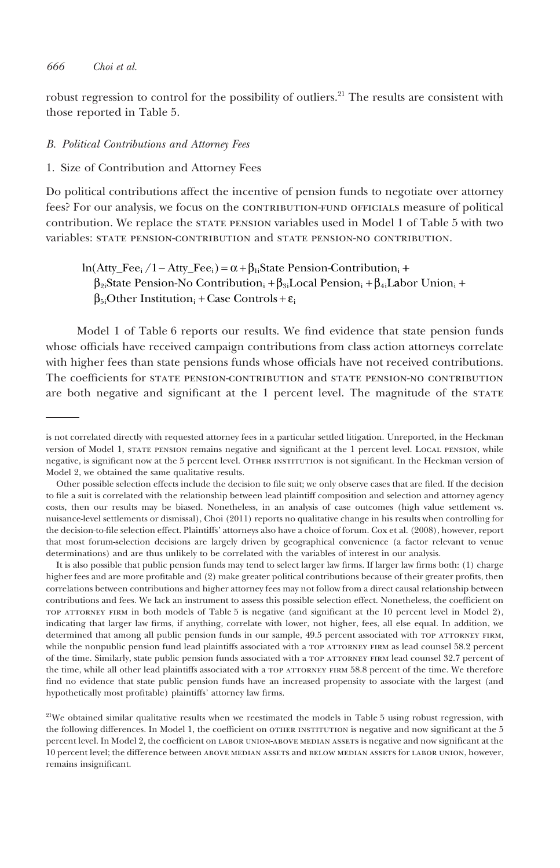robust regression to control for the possibility of outliers.<sup>21</sup> The results are consistent with those reported in Table 5.

#### *B. Political Contributions and Attorney Fees*

#### 1. Size of Contribution and Attorney Fees

Do political contributions affect the incentive of pension funds to negotiate over attorney fees? For our analysis, we focus on the CONTRIBUTION-FUND OFFICIALS measure of political contribution. We replace the state pension variables used in Model 1 of Table 5 with two variables: state pension-contribution and state pension-no contribution.

 $ln(Atty_Fee_i/1-Atty_Fee_i) = \alpha + \beta_i$  State Pension-Contribution  $+$  $\beta_{2i}$ State Pension-No Contribution $_{i} + \beta_{3i}$ Local Pension $_{i} + \beta_{4i}$ Labor Union $_{i} +$  $\beta_{5i}$ Other Institution<sub>i</sub> + Case Controls +  $\varepsilon_i$ 

Model 1 of Table 6 reports our results. We find evidence that state pension funds whose officials have received campaign contributions from class action attorneys correlate with higher fees than state pensions funds whose officials have not received contributions. The coefficients for state pension-contribution and state pension-no contribution are both negative and significant at the 1 percent level. The magnitude of the state

is not correlated directly with requested attorney fees in a particular settled litigation. Unreported, in the Heckman version of Model 1, STATE PENSION remains negative and significant at the 1 percent level. LOCAL PENSION, while negative, is significant now at the 5 percent level. OTHER INSTITUTION is not significant. In the Heckman version of Model 2, we obtained the same qualitative results.

Other possible selection effects include the decision to file suit; we only observe cases that are filed. If the decision to file a suit is correlated with the relationship between lead plaintiff composition and selection and attorney agency costs, then our results may be biased. Nonetheless, in an analysis of case outcomes (high value settlement vs. nuisance-level settlements or dismissal), Choi (2011) reports no qualitative change in his results when controlling for the decision-to-file selection effect. Plaintiffs' attorneys also have a choice of forum. Cox et al. (2008), however, report that most forum-selection decisions are largely driven by geographical convenience (a factor relevant to venue determinations) and are thus unlikely to be correlated with the variables of interest in our analysis.

It is also possible that public pension funds may tend to select larger law firms. If larger law firms both: (1) charge higher fees and are more profitable and (2) make greater political contributions because of their greater profits, then correlations between contributions and higher attorney fees may not follow from a direct causal relationship between contributions and fees. We lack an instrument to assess this possible selection effect. Nonetheless, the coefficient on top attorney firm in both models of Table 5 is negative (and significant at the 10 percent level in Model 2), indicating that larger law firms, if anything, correlate with lower, not higher, fees, all else equal. In addition, we determined that among all public pension funds in our sample, 49.5 percent associated with TOP ATTORNEY FIRM, while the nonpublic pension fund lead plaintiffs associated with a TOP ATTORNEY FIRM as lead counsel 58.2 percent of the time. Similarly, state public pension funds associated with a top attorney firm lead counsel 32.7 percent of the time, while all other lead plaintiffs associated with a TOP ATTORNEY FIRM 58.8 percent of the time. We therefore find no evidence that state public pension funds have an increased propensity to associate with the largest (and hypothetically most profitable) plaintiffs' attorney law firms.

 $2^{1}$ We obtained similar qualitative results when we reestimated the models in Table 5 using robust regression, with the following differences. In Model 1, the coefficient on OTHER INSTITUTION is negative and now significant at the 5 percent level. In Model 2, the coefficient on labor union-above median assets is negative and now significant at the 10 percent level; the difference between above median assets and below median assets for labor union, however, remains insignificant.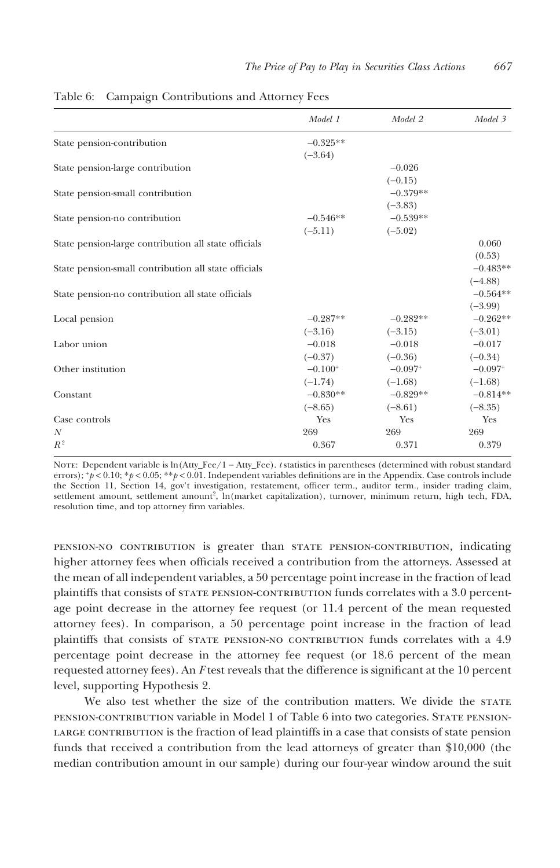|                                                      | Model 1      | Model 2               | Model 3               |
|------------------------------------------------------|--------------|-----------------------|-----------------------|
| State pension-contribution                           | $-0.325**$   |                       |                       |
|                                                      | $(-3.64)$    |                       |                       |
| State pension-large contribution                     |              | $-0.026$              |                       |
|                                                      |              | $(-0.15)$             |                       |
| State pension-small contribution                     |              | $-0.379**$            |                       |
|                                                      |              | $(-3.83)$             |                       |
| State pension-no contribution                        | $-0.546**$   | $-0.539**$            |                       |
|                                                      | $(-5.11)$    | $(-5.02)$             |                       |
| State pension-large contribution all state officials |              |                       | 0.060                 |
|                                                      |              |                       | (0.53)                |
| State pension-small contribution all state officials |              |                       | $-0.483**$            |
|                                                      |              |                       | $(-4.88)$             |
| State pension-no contribution all state officials    |              |                       | $-0.564**$            |
|                                                      |              |                       | $(-3.99)$             |
| Local pension                                        | $-0.287**$   | $-0.282**$            | $-0.262**$            |
|                                                      | $(-3.16)$    | $(-3.15)$             | $(-3.01)$             |
| Labor union                                          | $-0.018$     | $-0.018$              | $-0.017$              |
|                                                      | $(-0.37)$    | $(-0.36)$             | $(-0.34)$             |
| Other institution                                    | $-0.100^{+}$ | $-0.097$ <sup>+</sup> | $-0.097$ <sup>+</sup> |
|                                                      | $(-1.74)$    | $(-1.68)$             | $(-1.68)$             |
| Constant                                             | $-0.830**$   | $-0.829**$            | $-0.814**$            |
|                                                      | $(-8.65)$    | $(-8.61)$             | $(-8.35)$             |
| Case controls                                        | Yes          | Yes                   | Yes                   |
| $\boldsymbol{N}$                                     | 269          | 269                   | 269                   |
| $R^2$                                                | 0.367        | 0.371                 | 0.379                 |

|  |  | Table 6: Campaign Contributions and Attorney Fees |  |  |  |
|--|--|---------------------------------------------------|--|--|--|
|--|--|---------------------------------------------------|--|--|--|

NOTE: Dependent variable is  $ln(Atty_Fee/1 - Atty_Fee)$ . *t* statistics in parentheses (determined with robust standard errors);  $^{\ast}p$  < 0.10;  $^{\ast}p$  < 0.05;  $^{\ast}$   $^{\ast}p$  < 0.01. Independent variables definitions are in the Appendix. Case controls include the Section 11, Section 14, gov't investigation, restatement, officer term., auditor term., insider trading claim, settlement amount, settlement amount<sup>2</sup>, ln(market capitalization), turnover, minimum return, high tech, FDA, resolution time, and top attorney firm variables.

pension-no contribution is greater than state pension-contribution, indicating higher attorney fees when officials received a contribution from the attorneys. Assessed at the mean of all independent variables, a 50 percentage point increase in the fraction of lead plaintiffs that consists of state pension-contribution funds correlates with a 3.0 percentage point decrease in the attorney fee request (or 11.4 percent of the mean requested attorney fees). In comparison, a 50 percentage point increase in the fraction of lead plaintiffs that consists of STATE PENSION-NO CONTRIBUTION funds correlates with a 4.9 percentage point decrease in the attorney fee request (or 18.6 percent of the mean requested attorney fees). An *F* test reveals that the difference is significant at the 10 percent level, supporting Hypothesis 2.

We also test whether the size of the contribution matters. We divide the STATE pension-contribution variable in Model 1 of Table 6 into two categories. State pension-LARGE CONTRIBUTION is the fraction of lead plaintiffs in a case that consists of state pension funds that received a contribution from the lead attorneys of greater than \$10,000 (the median contribution amount in our sample) during our four-year window around the suit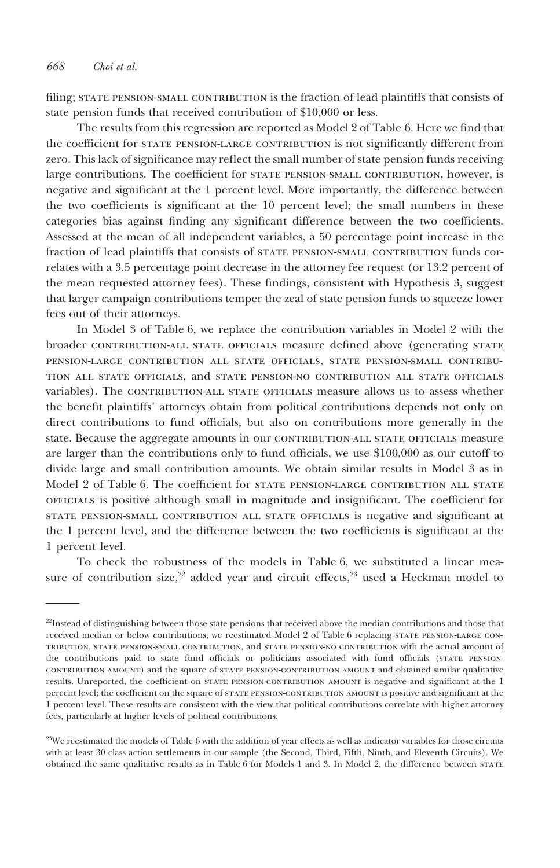filing; STATE PENSION-SMALL CONTRIBUTION is the fraction of lead plaintiffs that consists of state pension funds that received contribution of \$10,000 or less.

The results from this regression are reported as Model 2 of Table 6. Here we find that the coefficient for STATE PENSION-LARGE CONTRIBUTION is not significantly different from zero. This lack of significance may reflect the small number of state pension funds receiving large contributions. The coefficient for STATE PENSION-SMALL CONTRIBUTION, however, is negative and significant at the 1 percent level. More importantly, the difference between the two coefficients is significant at the 10 percent level; the small numbers in these categories bias against finding any significant difference between the two coefficients. Assessed at the mean of all independent variables, a 50 percentage point increase in the fraction of lead plaintiffs that consists of STATE PENSION-SMALL CONTRIBUTION funds correlates with a 3.5 percentage point decrease in the attorney fee request (or 13.2 percent of the mean requested attorney fees). These findings, consistent with Hypothesis 3, suggest that larger campaign contributions temper the zeal of state pension funds to squeeze lower fees out of their attorneys.

In Model 3 of Table 6, we replace the contribution variables in Model 2 with the broader contribution-all state officials measure defined above (generating state pension-large contribution all state officials, state pension-small contribution all state officials, and state pension-no contribution all state officials variables). The CONTRIBUTION-ALL STATE OFFICIALS measure allows us to assess whether the benefit plaintiffs' attorneys obtain from political contributions depends not only on direct contributions to fund officials, but also on contributions more generally in the state. Because the aggregate amounts in our CONTRIBUTION-ALL STATE OFFICIALS measure are larger than the contributions only to fund officials, we use \$100,000 as our cutoff to divide large and small contribution amounts. We obtain similar results in Model 3 as in Model 2 of Table 6. The coefficient for state pension-large contribution all state officials is positive although small in magnitude and insignificant. The coefficient for state pension-small contribution all state officials is negative and significant at the 1 percent level, and the difference between the two coefficients is significant at the 1 percent level.

To check the robustness of the models in Table 6, we substituted a linear measure of contribution size,<sup>22</sup> added year and circuit effects,<sup>23</sup> used a Heckman model to

<sup>&</sup>lt;sup>22</sup>Instead of distinguishing between those state pensions that received above the median contributions and those that received median or below contributions, we reestimated Model 2 of Table 6 replacing state pension-large contribution, state pension-small contribution, and state pension-no contribution with the actual amount of the contributions paid to state fund officials or politicians associated with fund officials (state pensioncontribution amount) and the square of state pension-contribution amount and obtained similar qualitative results. Unreported, the coefficient on state pension-contribution amount is negative and significant at the 1 percent level; the coefficient on the square of state pension-contribution amount is positive and significant at the 1 percent level. These results are consistent with the view that political contributions correlate with higher attorney fees, particularly at higher levels of political contributions.

 $2<sup>3</sup>$ We reestimated the models of Table 6 with the addition of year effects as well as indicator variables for those circuits with at least 30 class action settlements in our sample (the Second, Third, Fifth, Ninth, and Eleventh Circuits). We obtained the same qualitative results as in Table 6 for Models 1 and 3. In Model 2, the difference between state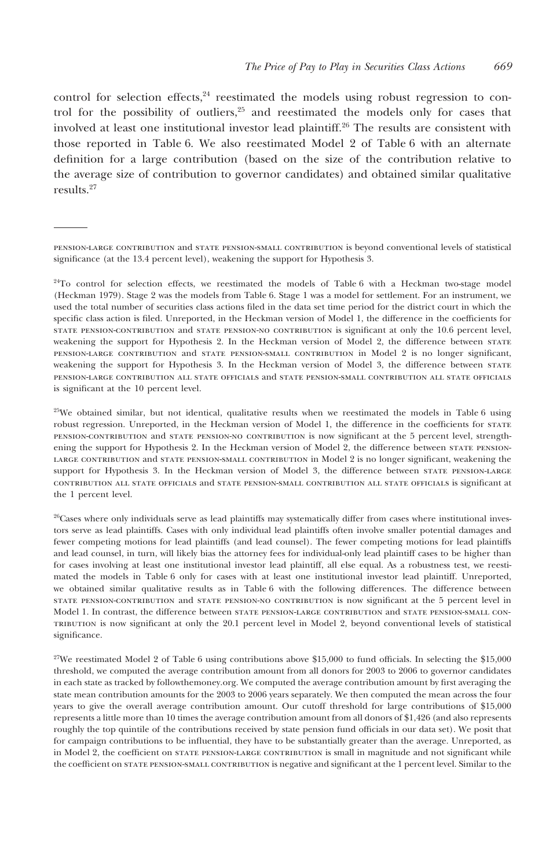control for selection effects, $24$  reestimated the models using robust regression to control for the possibility of outliers, $25$  and reestimated the models only for cases that involved at least one institutional investor lead plaintiff.<sup>26</sup> The results are consistent with those reported in Table 6. We also reestimated Model 2 of Table 6 with an alternate definition for a large contribution (based on the size of the contribution relative to the average size of contribution to governor candidates) and obtained similar qualitative results.27

<sup>24</sup>To control for selection effects, we reestimated the models of Table 6 with a Heckman two-stage model (Heckman 1979). Stage 2 was the models from Table 6. Stage 1 was a model for settlement. For an instrument, we used the total number of securities class actions filed in the data set time period for the district court in which the specific class action is filed. Unreported, in the Heckman version of Model 1, the difference in the coefficients for state pension-contribution and state pension-no contribution is significant at only the 10.6 percent level, weakening the support for Hypothesis 2. In the Heckman version of Model 2, the difference between state pension-large contribution and state pension-small contribution in Model 2 is no longer significant, weakening the support for Hypothesis 3. In the Heckman version of Model 3, the difference between state pension-large contribution all state officials and state pension-small contribution all state officials is significant at the 10 percent level.

 $25$ We obtained similar, but not identical, qualitative results when we reestimated the models in Table 6 using robust regression. Unreported, in the Heckman version of Model 1, the difference in the coefficients for state pension-contribution and state pension-no contribution is now significant at the 5 percent level, strengthening the support for Hypothesis 2. In the Heckman version of Model 2, the difference between state pensionlarge contribution and state pension-small contribution in Model 2 is no longer significant, weakening the support for Hypothesis 3. In the Heckman version of Model 3, the difference between STATE PENSION-LARGE contribution all state officials and state pension-small contribution all state officials is significant at the 1 percent level.

<sup>26</sup>Cases where only individuals serve as lead plaintiffs may systematically differ from cases where institutional investors serve as lead plaintiffs. Cases with only individual lead plaintiffs often involve smaller potential damages and fewer competing motions for lead plaintiffs (and lead counsel). The fewer competing motions for lead plaintiffs and lead counsel, in turn, will likely bias the attorney fees for individual-only lead plaintiff cases to be higher than for cases involving at least one institutional investor lead plaintiff, all else equal. As a robustness test, we reestimated the models in Table 6 only for cases with at least one institutional investor lead plaintiff. Unreported, we obtained similar qualitative results as in Table 6 with the following differences. The difference between state pension-contribution and state pension-no contribution is now significant at the 5 percent level in Model 1. In contrast, the difference between state pension-large contribution and state pension-small con-TRIBUTION is now significant at only the 20.1 percent level in Model 2, beyond conventional levels of statistical significance.

27We reestimated Model 2 of Table 6 using contributions above \$15,000 to fund officials. In selecting the \$15,000 threshold, we computed the average contribution amount from all donors for 2003 to 2006 to governor candidates in each state as tracked by followthemoney.org. We computed the average contribution amount by first averaging the state mean contribution amounts for the 2003 to 2006 years separately. We then computed the mean across the four years to give the overall average contribution amount. Our cutoff threshold for large contributions of \$15,000 represents a little more than 10 times the average contribution amount from all donors of \$1,426 (and also represents roughly the top quintile of the contributions received by state pension fund officials in our data set). We posit that for campaign contributions to be influential, they have to be substantially greater than the average. Unreported, as in Model 2, the coefficient on state pension-large contribution is small in magnitude and not significant while the coefficient on state pension-small contribution is negative and significant at the 1 percent level. Similar to the

pension-large contribution and state pension-small contribution is beyond conventional levels of statistical significance (at the 13.4 percent level), weakening the support for Hypothesis 3.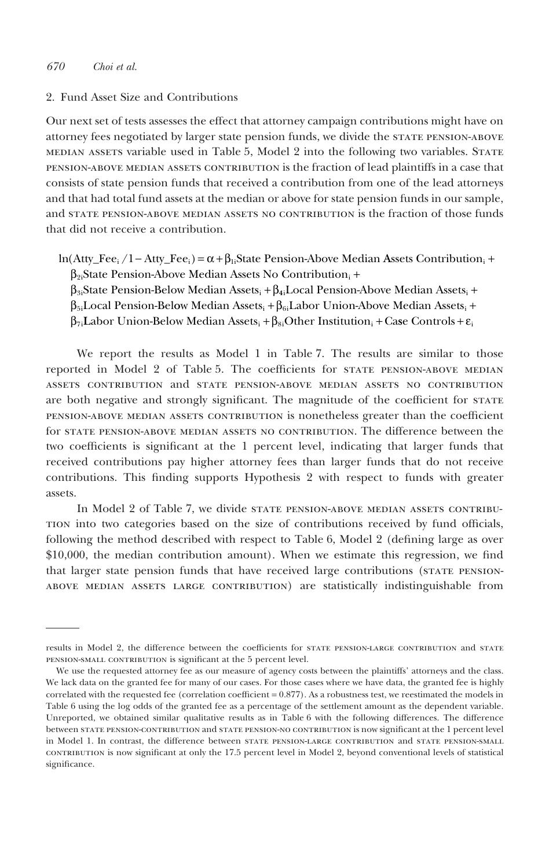### 2. Fund Asset Size and Contributions

Our next set of tests assesses the effect that attorney campaign contributions might have on attorney fees negotiated by larger state pension funds, we divide the state pension-above median assets variable used in Table 5, Model 2 into the following two variables. State pension-above median assets contribution is the fraction of lead plaintiffs in a case that consists of state pension funds that received a contribution from one of the lead attorneys and that had total fund assets at the median or above for state pension funds in our sample, and state pension-above median assets no contribution is the fraction of those funds that did not receive a contribution.

ln(Atty\_Fee<sub>i</sub> / 1 – Atty\_Fee<sub>i</sub>) =  $\alpha + \beta_{1i}$ State Pension-Above Median Assets Contribution<sub>i</sub> +  $\beta_{2i}$ State Pension-Above Median Assets No Contribution $_{\rm i}$  +

 $\beta_{3i}$ State Pension-Below Median Assets $_i + \beta_{4i}$ Local Pension-Above Median Assets $_i +$ 

 $β_{5i}$ Local Pension-Below Median Assets $_i + β_{6i}$ Labor Union-Above Median Assets $_i +$ 

 $β_{7i}$ Labor Union-Below Median Assets $_i + β_{8i}$ Other Institution $_i + Case$  Controls + ε $_i$ 

We report the results as Model 1 in Table 7. The results are similar to those reported in Model 2 of Table 5. The coefficients for state pension-above median assets contribution and state pension-above median assets no contribution are both negative and strongly significant. The magnitude of the coefficient for state pension-above median assets contribution is nonetheless greater than the coefficient for state pension-above median assets no contribution. The difference between the two coefficients is significant at the 1 percent level, indicating that larger funds that received contributions pay higher attorney fees than larger funds that do not receive contributions. This finding supports Hypothesis 2 with respect to funds with greater assets.

In Model 2 of Table 7, we divide state pension-above median assets contribution into two categories based on the size of contributions received by fund officials, following the method described with respect to Table 6, Model 2 (defining large as over \$10,000, the median contribution amount). When we estimate this regression, we find that larger state pension funds that have received large contributions (STATE PENSIONabove median assets large contribution) are statistically indistinguishable from

results in Model 2, the difference between the coefficients for STATE PENSION-LARGE CONTRIBUTION and STATE pension-small contribution is significant at the 5 percent level.

We use the requested attorney fee as our measure of agency costs between the plaintiffs' attorneys and the class. We lack data on the granted fee for many of our cases. For those cases where we have data, the granted fee is highly correlated with the requested fee (correlation coefficient = 0.877). As a robustness test, we reestimated the models in Table 6 using the log odds of the granted fee as a percentage of the settlement amount as the dependent variable. Unreported, we obtained similar qualitative results as in Table 6 with the following differences. The difference between state pension-contribution and state pension-no contribution is now significant at the 1 percent level in Model 1. In contrast, the difference between STATE PENSION-LARGE CONTRIBUTION and STATE PENSION-SMALL contribution is now significant at only the 17.5 percent level in Model 2, beyond conventional levels of statistical significance.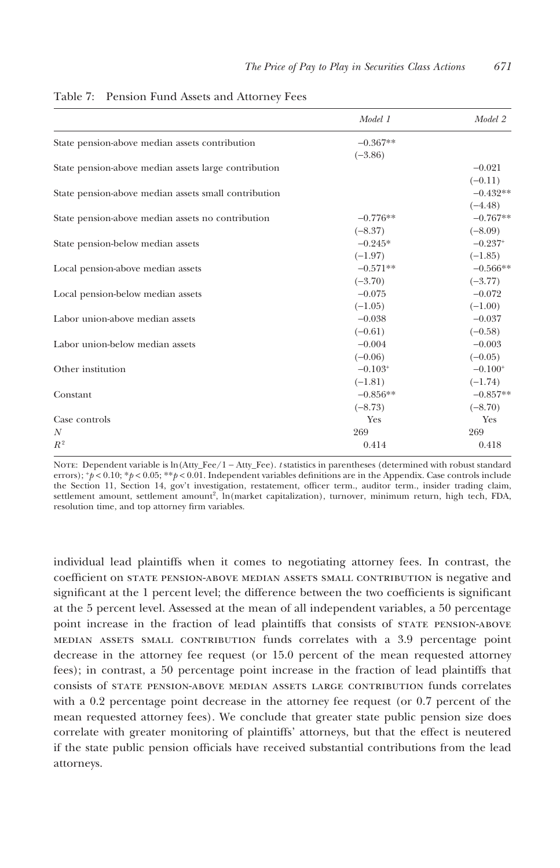|                                                      | Model 1               | Model 2               |
|------------------------------------------------------|-----------------------|-----------------------|
| State pension-above median assets contribution       | $-0.367**$            |                       |
|                                                      | $(-3.86)$             |                       |
| State pension-above median assets large contribution |                       | $-0.021$              |
|                                                      |                       | $(-0.11)$             |
| State pension-above median assets small contribution |                       | $-0.432**$            |
|                                                      |                       | $(-4.48)$             |
| State pension-above median assets no contribution    | $-0.776**$            | $-0.767**$            |
|                                                      | $(-8.37)$             | $(-8.09)$             |
| State pension-below median assets                    | $-0.245*$             | $-0.237$ <sup>+</sup> |
|                                                      | $(-1.97)$             | $(-1.85)$             |
| Local pension-above median assets                    | $-0.571**$            | $-0.566**$            |
|                                                      | $(-3.70)$             | $(-3.77)$             |
| Local pension-below median assets                    | $-0.075$              | $-0.072$              |
|                                                      | $(-1.05)$             | $(-1.00)$             |
| Labor union-above median assets                      | $-0.038$              | $-0.037$              |
|                                                      | $(-0.61)$             | $(-0.58)$             |
| Labor union-below median assets                      | $-0.004$              | $-0.003$              |
|                                                      | $(-0.06)$             | $(-0.05)$             |
| Other institution                                    | $-0.103$ <sup>+</sup> | $-0.100^{+}$          |
|                                                      | $(-1.81)$             | $(-1.74)$             |
| Constant                                             | $-0.856**$            | $-0.857**$            |
|                                                      | $(-8.73)$             | $(-8.70)$             |
| Case controls                                        | Yes                   | Yes                   |
| $\boldsymbol{N}$                                     | 269                   | 269                   |
| $R^2$                                                | 0.414                 | 0.418                 |
|                                                      |                       |                       |

#### Table 7: Pension Fund Assets and Attorney Fees

NOTE: Dependent variable is  $ln(Atty_Fee/1 - Atty_Fee)$ . *t* statistics in parentheses (determined with robust standard errors);  $^{\ast}p$  < 0.10;  $^{\ast}p$  < 0.05;  $^{\ast}$   $^{\ast}p$  < 0.01. Independent variables definitions are in the Appendix. Case controls include the Section 11, Section 14, gov't investigation, restatement, officer term., auditor term., insider trading claim, settlement amount, settlement amount<sup>2</sup>, ln(market capitalization), turnover, minimum return, high tech, FDA, resolution time, and top attorney firm variables.

individual lead plaintiffs when it comes to negotiating attorney fees. In contrast, the coefficient on state pension-above median assets small contribution is negative and significant at the 1 percent level; the difference between the two coefficients is significant at the 5 percent level. Assessed at the mean of all independent variables, a 50 percentage point increase in the fraction of lead plaintiffs that consists of state pension-above median assets small contribution funds correlates with a 3.9 percentage point decrease in the attorney fee request (or 15.0 percent of the mean requested attorney fees); in contrast, a 50 percentage point increase in the fraction of lead plaintiffs that consists of state pension-above median assets large contribution funds correlates with a 0.2 percentage point decrease in the attorney fee request (or 0.7 percent of the mean requested attorney fees). We conclude that greater state public pension size does correlate with greater monitoring of plaintiffs' attorneys, but that the effect is neutered if the state public pension officials have received substantial contributions from the lead attorneys.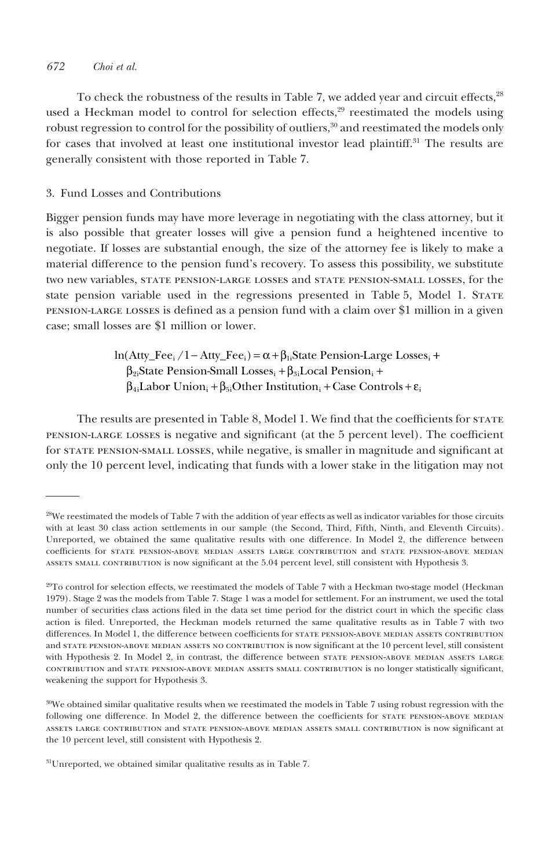To check the robustness of the results in Table 7, we added year and circuit effects,  $28$ used a Heckman model to control for selection effects,<sup>29</sup> reestimated the models using robust regression to control for the possibility of outliers,  $30$  and reestimated the models only for cases that involved at least one institutional investor lead plaintiff.31 The results are generally consistent with those reported in Table 7.

# 3. Fund Losses and Contributions

Bigger pension funds may have more leverage in negotiating with the class attorney, but it is also possible that greater losses will give a pension fund a heightened incentive to negotiate. If losses are substantial enough, the size of the attorney fee is likely to make a material difference to the pension fund's recovery. To assess this possibility, we substitute two new variables, state pension-large losses and state pension-small losses, for the state pension variable used in the regressions presented in Table 5, Model 1. State pension-large losses is defined as a pension fund with a claim over \$1 million in a given case; small losses are \$1 million or lower.

> $ln(Atty_Fee_i/1-Atty_Fee_i) = \alpha + \beta_{1i}$ State Pension-Large Losses +  $\beta_{2i}$ State Pension-Small Losses $_{\rm i}$  +  $\beta_{3i}$ Local Pension $_{\rm i}$  +  $β_{4i}$ Labor Union<sub>i</sub> + $β_{5i}$ Other Institution<sub>i</sub> + Case Controls +  $ε_i$

The results are presented in Table 8, Model 1. We find that the coefficients for state pension-large losses is negative and significant (at the 5 percent level). The coefficient for state pension-small losses, while negative, is smaller in magnitude and significant at only the 10 percent level, indicating that funds with a lower stake in the litigation may not

<sup>&</sup>lt;sup>28</sup>We reestimated the models of Table 7 with the addition of year effects as well as indicator variables for those circuits with at least 30 class action settlements in our sample (the Second, Third, Fifth, Ninth, and Eleventh Circuits). Unreported, we obtained the same qualitative results with one difference. In Model 2, the difference between coefficients for state pension-above median assets large contribution and state pension-above median ASSETS SMALL CONTRIBUTION is now significant at the 5.04 percent level, still consistent with Hypothesis 3.

<sup>29</sup>To control for selection effects, we reestimated the models of Table 7 with a Heckman two-stage model (Heckman 1979). Stage 2 was the models from Table 7. Stage 1 was a model for settlement. For an instrument, we used the total number of securities class actions filed in the data set time period for the district court in which the specific class action is filed. Unreported, the Heckman models returned the same qualitative results as in Table 7 with two differences. In Model 1, the difference between coefficients for STATE PENSION-ABOVE MEDIAN ASSETS CONTRIBUTION and STATE PENSION-ABOVE MEDIAN ASSETS NO CONTRIBUTION is now significant at the 10 percent level, still consistent with Hypothesis 2. In Model 2, in contrast, the difference between state pension-above median assets large contribution and state pension-above median assets small contribution is no longer statistically significant, weakening the support for Hypothesis 3.

<sup>30</sup>We obtained similar qualitative results when we reestimated the models in Table 7 using robust regression with the following one difference. In Model 2, the difference between the coefficients for STATE PENSION-ABOVE MEDIAN assets large contribution and state pension-above median assets small contribution is now significant at the 10 percent level, still consistent with Hypothesis 2.

 $31$ Unreported, we obtained similar qualitative results as in Table 7.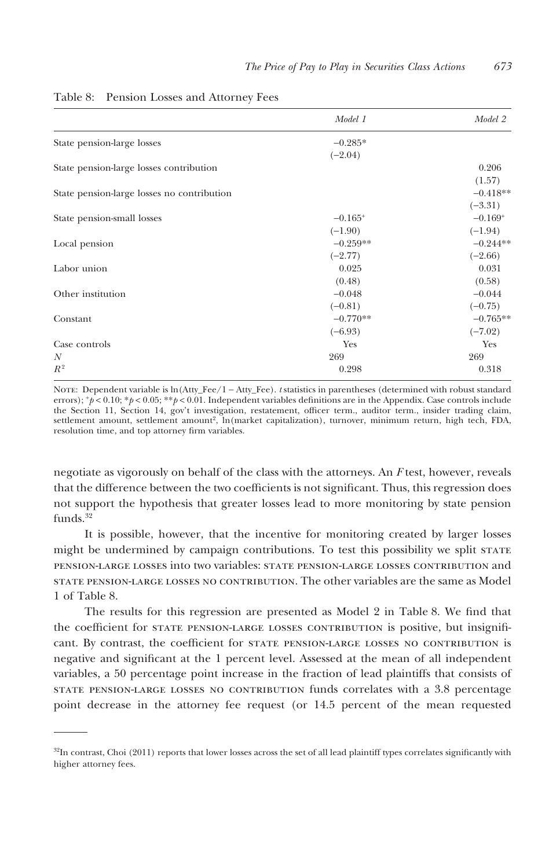| State pension-large losses<br>$-0.285*$<br>$(-2.04)$<br>State pension-large losses contribution<br>State pension-large losses no contribution<br>$-0.165+$<br>State pension-small losses<br>$(-1.90)$<br>$-0.259**$<br>Local pension |              |
|--------------------------------------------------------------------------------------------------------------------------------------------------------------------------------------------------------------------------------------|--------------|
|                                                                                                                                                                                                                                      |              |
|                                                                                                                                                                                                                                      |              |
|                                                                                                                                                                                                                                      | 0.206        |
|                                                                                                                                                                                                                                      | (1.57)       |
|                                                                                                                                                                                                                                      | $-0.418**$   |
|                                                                                                                                                                                                                                      | $(-3.31)$    |
|                                                                                                                                                                                                                                      | $-0.169^{+}$ |
|                                                                                                                                                                                                                                      | $(-1.94)$    |
|                                                                                                                                                                                                                                      | $-0.244**$   |
| $(-2.77)$                                                                                                                                                                                                                            | $(-2.66)$    |
| Labor union<br>0.025                                                                                                                                                                                                                 | 0.031        |
| (0.48)                                                                                                                                                                                                                               | (0.58)       |
| Other institution<br>$-0.048$                                                                                                                                                                                                        | $-0.044$     |
| $(-0.81)$                                                                                                                                                                                                                            | $(-0.75)$    |
| $-0.770**$<br>Constant                                                                                                                                                                                                               | $-0.765**$   |
| $(-6.93)$                                                                                                                                                                                                                            | $(-7.02)$    |
| Case controls<br>Yes                                                                                                                                                                                                                 | Yes          |
| 269<br>N                                                                                                                                                                                                                             | 269          |
| $R^2$<br>0.298                                                                                                                                                                                                                       | 0.318        |

#### Table 8: Pension Losses and Attorney Fees

NOTE: Dependent variable is ln(Atty\_Fee/1 - Atty\_Fee). *t* statistics in parentheses (determined with robust standard errors); <sup>+</sup> *p* < 0.10; \**p* < 0.05; \*\**p* < 0.01. Independent variables definitions are in the Appendix. Case controls include the Section 11, Section 14, gov't investigation, restatement, officer term., auditor term., insider trading claim, settlement amount, settlement amount<sup>2</sup>, ln(market capitalization), turnover, minimum return, high tech, FDA, resolution time, and top attorney firm variables.

negotiate as vigorously on behalf of the class with the attorneys. An *F* test, however, reveals that the difference between the two coefficients is not significant. Thus, this regression does not support the hypothesis that greater losses lead to more monitoring by state pension funds.<sup>32</sup>

It is possible, however, that the incentive for monitoring created by larger losses might be undermined by campaign contributions. To test this possibility we split STATE pension-large losses into two variables: state pension-large losses contribution and state pension-large losses no contribution. The other variables are the same as Model 1 of Table 8.

The results for this regression are presented as Model 2 in Table 8. We find that the coefficient for STATE PENSION-LARGE LOSSES CONTRIBUTION is positive, but insignificant. By contrast, the coefficient for STATE PENSION-LARGE LOSSES NO CONTRIBUTION is negative and significant at the 1 percent level. Assessed at the mean of all independent variables, a 50 percentage point increase in the fraction of lead plaintiffs that consists of state pension-large losses no contribution funds correlates with a 3.8 percentage point decrease in the attorney fee request (or 14.5 percent of the mean requested

 $32$ In contrast, Choi (2011) reports that lower losses across the set of all lead plaintiff types correlates significantly with higher attorney fees.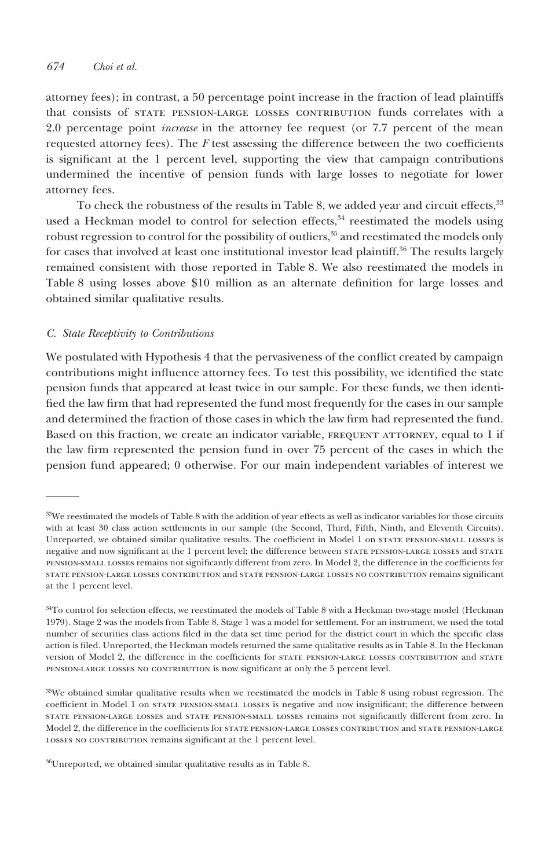attorney fees); in contrast, a 50 percentage point increase in the fraction of lead plaintiffs that consists of STATE PENSION-LARGE LOSSES CONTRIBUTION funds correlates with a 2.0 percentage point *increase* in the attorney fee request (or 7.7 percent of the mean requested attorney fees). The *F* test assessing the difference between the two coefficients is significant at the 1 percent level, supporting the view that campaign contributions undermined the incentive of pension funds with large losses to negotiate for lower attorney fees.

To check the robustness of the results in Table 8, we added year and circuit effects,  $33$ used a Heckman model to control for selection effects, $34$  reestimated the models using robust regression to control for the possibility of outliers,<sup>35</sup> and reestimated the models only for cases that involved at least one institutional investor lead plaintiff.<sup>36</sup> The results largely remained consistent with those reported in Table 8. We also reestimated the models in Table 8 using losses above \$10 million as an alternate definition for large losses and obtained similar qualitative results.

# *C. State Receptivity to Contributions*

We postulated with Hypothesis 4 that the pervasiveness of the conflict created by campaign contributions might influence attorney fees. To test this possibility, we identified the state pension funds that appeared at least twice in our sample. For these funds, we then identified the law firm that had represented the fund most frequently for the cases in our sample and determined the fraction of those cases in which the law firm had represented the fund. Based on this fraction, we create an indicator variable, FREQUENT ATTORNEY, equal to 1 if the law firm represented the pension fund in over 75 percent of the cases in which the pension fund appeared; 0 otherwise. For our main independent variables of interest we

 $33$ We reestimated the models of Table 8 with the addition of year effects as well as indicator variables for those circuits with at least 30 class action settlements in our sample (the Second, Third, Fifth, Ninth, and Eleventh Circuits). Unreported, we obtained similar qualitative results. The coefficient in Model 1 on STATE PENSION-SMALL LOSSES is negative and now significant at the 1 percent level; the difference between state pension-large losses and state pension-small losses remains not significantly different from zero. In Model 2, the difference in the coefficients for state pension-large losses contribution and state pension-large losses no contribution remains significant at the 1 percent level.

<sup>&</sup>lt;sup>34</sup>To control for selection effects, we reestimated the models of Table 8 with a Heckman two-stage model (Heckman 1979). Stage 2 was the models from Table 8. Stage 1 was a model for settlement. For an instrument, we used the total number of securities class actions filed in the data set time period for the district court in which the specific class action is filed. Unreported, the Heckman models returned the same qualitative results as in Table 8. In the Heckman version of Model 2, the difference in the coefficients for state pension-large losses contribution and state pension-large losses no contribution is now significant at only the 5 percent level.

<sup>&</sup>lt;sup>35</sup>We obtained similar qualitative results when we reestimated the models in Table 8 using robust regression. The coefficient in Model 1 on state pension-small losses is negative and now insignificant; the difference between state pension-large losses and state pension-small losses remains not significantly different from zero. In Model 2, the difference in the coefficients for state pension-large losses contribution and state pension-large LOSSES NO CONTRIBUTION remains significant at the 1 percent level.

<sup>36</sup>Unreported, we obtained similar qualitative results as in Table 8.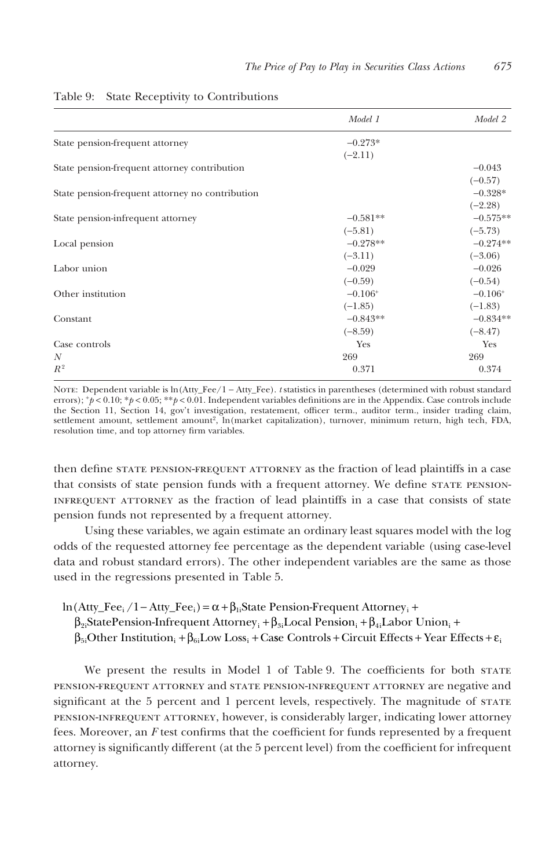|                                                 | Model 1    | Model 2    |
|-------------------------------------------------|------------|------------|
| State pension-frequent attorney                 | $-0.273*$  |            |
|                                                 | $(-2.11)$  |            |
| State pension-frequent attorney contribution    |            | $-0.043$   |
|                                                 |            | $(-0.57)$  |
| State pension-frequent attorney no contribution |            | $-0.328*$  |
|                                                 |            | $(-2.28)$  |
| State pension-infrequent attorney               | $-0.581**$ | $-0.575**$ |
|                                                 | $(-5.81)$  | $(-5.73)$  |
| Local pension                                   | $-0.278**$ | $-0.274**$ |
|                                                 | $(-3.11)$  | $(-3.06)$  |
| Labor union                                     | $-0.029$   | $-0.026$   |
|                                                 | $(-0.59)$  | $(-0.54)$  |
| Other institution                               | $-0.106+$  | $-0.106+$  |
|                                                 | $(-1.85)$  | $(-1.83)$  |
| Constant                                        | $-0.843**$ | $-0.834**$ |
|                                                 | $(-8.59)$  | $(-8.47)$  |
| Case controls                                   | Yes        | Yes        |
| N                                               | 269        | 269        |
| $R^2$                                           | 0.371      | 0.374      |

#### Table 9: State Receptivity to Contributions

NOTE: Dependent variable is  $ln (Atty\_Fee/1 - Atty\_Fee)$ . *t* statistics in parentheses (determined with robust standard errors); <sup>+</sup> *p* < 0.10; \**p* < 0.05; \*\**p* < 0.01. Independent variables definitions are in the Appendix. Case controls include the Section 11, Section 14, gov't investigation, restatement, officer term., auditor term., insider trading claim, settlement amount, settlement amount<sup>2</sup>, ln(market capitalization), turnover, minimum return, high tech, FDA, resolution time, and top attorney firm variables.

then define STATE PENSION-FREQUENT ATTORNEY as the fraction of lead plaintiffs in a case that consists of state pension funds with a frequent attorney. We define STATE PENSIONinfrequent attorney as the fraction of lead plaintiffs in a case that consists of state pension funds not represented by a frequent attorney.

Using these variables, we again estimate an ordinary least squares model with the log odds of the requested attorney fee percentage as the dependent variable (using case-level data and robust standard errors). The other independent variables are the same as those used in the regressions presented in Table 5.

ln(Atty\_Fee $_{\rm i}$  / 1 – Atty\_Fee $_{\rm i}$ ) =  $\alpha$  +  $\beta_{\rm li}$ State Pension-Frequent Attorney $_{\rm i}$  +

 $\beta_{2i}$ StatePension-Infrequent Attorney $_{\rm i}$  +  $\beta_{\rm 3i}$ Local Pension $_{\rm i}$  +  $\beta_{\rm 4i}$ Labor Union $_{\rm i}$  +

 $\beta_{5i}$ Other Institution<sub>i</sub> + $\beta_{6i}$ Low Loss<sub>i</sub> + Case Controls + Circuit Effects + Year Effects +  $\varepsilon_{i}$ 

We present the results in Model 1 of Table 9. The coefficients for both STATE pension-frequent attorney and state pension-infrequent attorney are negative and significant at the 5 percent and 1 percent levels, respectively. The magnitude of state pension-infrequent attorney, however, is considerably larger, indicating lower attorney fees. Moreover, an *F* test confirms that the coefficient for funds represented by a frequent attorney is significantly different (at the 5 percent level) from the coefficient for infrequent attorney.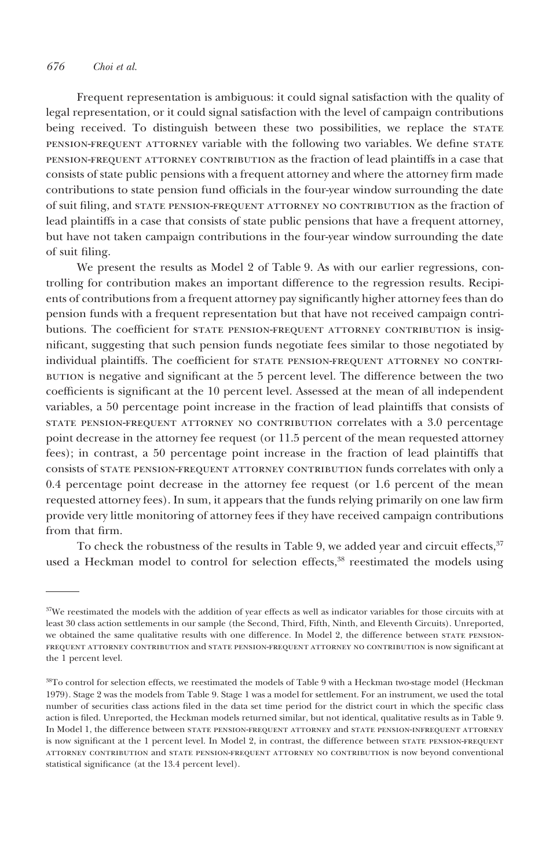Frequent representation is ambiguous: it could signal satisfaction with the quality of legal representation, or it could signal satisfaction with the level of campaign contributions being received. To distinguish between these two possibilities, we replace the STATE pension-frequent attorney variable with the following two variables. We define state pension-frequent attorney contribution as the fraction of lead plaintiffs in a case that consists of state public pensions with a frequent attorney and where the attorney firm made contributions to state pension fund officials in the four-year window surrounding the date of suit filing, and state pension-frequent attorney no contribution as the fraction of lead plaintiffs in a case that consists of state public pensions that have a frequent attorney, but have not taken campaign contributions in the four-year window surrounding the date of suit filing.

We present the results as Model 2 of Table 9. As with our earlier regressions, controlling for contribution makes an important difference to the regression results. Recipients of contributions from a frequent attorney pay significantly higher attorney fees than do pension funds with a frequent representation but that have not received campaign contributions. The coefficient for STATE PENSION-FREQUENT ATTORNEY CONTRIBUTION is insignificant, suggesting that such pension funds negotiate fees similar to those negotiated by individual plaintiffs. The coefficient for state pension-frequent attorney no contribution is negative and significant at the 5 percent level. The difference between the two coefficients is significant at the 10 percent level. Assessed at the mean of all independent variables, a 50 percentage point increase in the fraction of lead plaintiffs that consists of state pension-frequent attorney no contribution correlates with a 3.0 percentage point decrease in the attorney fee request (or 11.5 percent of the mean requested attorney fees); in contrast, a 50 percentage point increase in the fraction of lead plaintiffs that consists of state pension-frequent attorney contribution funds correlates with only a 0.4 percentage point decrease in the attorney fee request (or 1.6 percent of the mean requested attorney fees). In sum, it appears that the funds relying primarily on one law firm provide very little monitoring of attorney fees if they have received campaign contributions from that firm.

To check the robustness of the results in Table 9, we added year and circuit effects, <sup>37</sup> used a Heckman model to control for selection effects,<sup>38</sup> reestimated the models using

<sup>&</sup>lt;sup>37</sup>We reestimated the models with the addition of year effects as well as indicator variables for those circuits with at least 30 class action settlements in our sample (the Second, Third, Fifth, Ninth, and Eleventh Circuits). Unreported, we obtained the same qualitative results with one difference. In Model 2, the difference between state pensionfrequent attorney contribution and state pension-frequent attorney no contribution is now significant at the 1 percent level.

<sup>38</sup>To control for selection effects, we reestimated the models of Table 9 with a Heckman two-stage model (Heckman 1979). Stage 2 was the models from Table 9. Stage 1 was a model for settlement. For an instrument, we used the total number of securities class actions filed in the data set time period for the district court in which the specific class action is filed. Unreported, the Heckman models returned similar, but not identical, qualitative results as in Table 9. In Model 1, the difference between state pension-frequent attorney and state pension-infrequent attorney is now significant at the 1 percent level. In Model 2, in contrast, the difference between state pension-frequent attorney contribution and state pension-frequent attorney no contribution is now beyond conventional statistical significance (at the 13.4 percent level).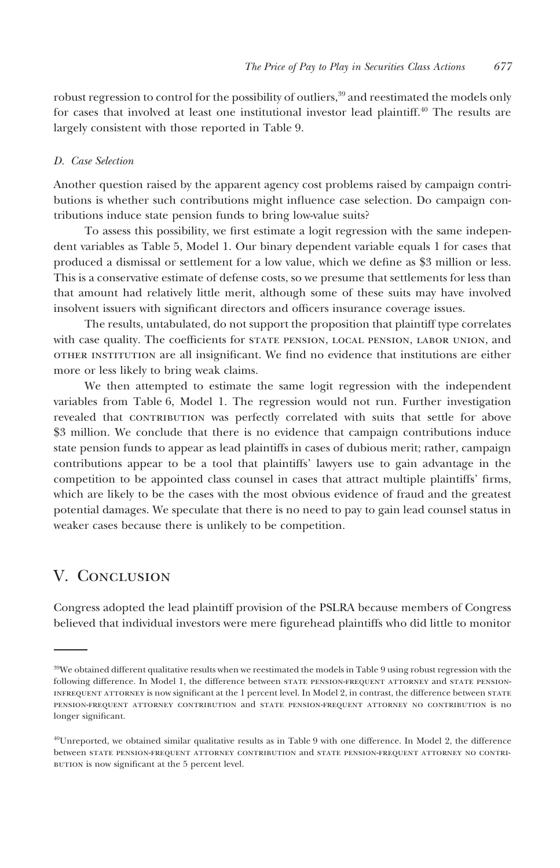robust regression to control for the possibility of outliers,<sup>39</sup> and reestimated the models only for cases that involved at least one institutional investor lead plaintiff.40 The results are largely consistent with those reported in Table 9.

#### *D. Case Selection*

Another question raised by the apparent agency cost problems raised by campaign contributions is whether such contributions might influence case selection. Do campaign contributions induce state pension funds to bring low-value suits?

To assess this possibility, we first estimate a logit regression with the same independent variables as Table 5, Model 1. Our binary dependent variable equals 1 for cases that produced a dismissal or settlement for a low value, which we define as \$3 million or less. This is a conservative estimate of defense costs, so we presume that settlements for less than that amount had relatively little merit, although some of these suits may have involved insolvent issuers with significant directors and officers insurance coverage issues.

The results, untabulated, do not support the proposition that plaintiff type correlates with case quality. The coefficients for STATE PENSION, LOCAL PENSION, LABOR UNION, and other institution are all insignificant. We find no evidence that institutions are either more or less likely to bring weak claims.

We then attempted to estimate the same logit regression with the independent variables from Table 6, Model 1. The regression would not run. Further investigation revealed that CONTRIBUTION was perfectly correlated with suits that settle for above \$3 million. We conclude that there is no evidence that campaign contributions induce state pension funds to appear as lead plaintiffs in cases of dubious merit; rather, campaign contributions appear to be a tool that plaintiffs' lawyers use to gain advantage in the competition to be appointed class counsel in cases that attract multiple plaintiffs' firms, which are likely to be the cases with the most obvious evidence of fraud and the greatest potential damages. We speculate that there is no need to pay to gain lead counsel status in weaker cases because there is unlikely to be competition.

# V. Conclusion

Congress adopted the lead plaintiff provision of the PSLRA because members of Congress believed that individual investors were mere figurehead plaintiffs who did little to monitor

<sup>&</sup>lt;sup>39</sup>We obtained different qualitative results when we reestimated the models in Table 9 using robust regression with the following difference. In Model 1, the difference between STATE PENSION-FREQUENT ATTORNEY and STATE PENSIONinfrequent attorney is now significant at the 1 percent level. In Model 2, in contrast, the difference between state pension-frequent attorney contribution and state pension-frequent attorney no contribution is no longer significant.

 $^{40}$ Unreported, we obtained similar qualitative results as in Table 9 with one difference. In Model 2, the difference between state pension-frequent attorney contribution and state pension-frequent attorney no contribution is now significant at the 5 percent level.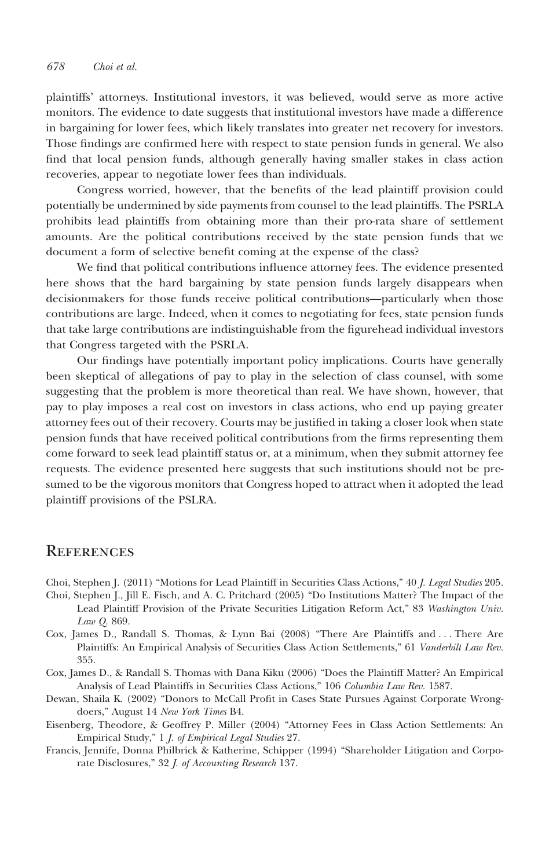plaintiffs' attorneys. Institutional investors, it was believed, would serve as more active monitors. The evidence to date suggests that institutional investors have made a difference in bargaining for lower fees, which likely translates into greater net recovery for investors. Those findings are confirmed here with respect to state pension funds in general. We also find that local pension funds, although generally having smaller stakes in class action recoveries, appear to negotiate lower fees than individuals.

Congress worried, however, that the benefits of the lead plaintiff provision could potentially be undermined by side payments from counsel to the lead plaintiffs. The PSRLA prohibits lead plaintiffs from obtaining more than their pro-rata share of settlement amounts. Are the political contributions received by the state pension funds that we document a form of selective benefit coming at the expense of the class?

We find that political contributions influence attorney fees. The evidence presented here shows that the hard bargaining by state pension funds largely disappears when decisionmakers for those funds receive political contributions—particularly when those contributions are large. Indeed, when it comes to negotiating for fees, state pension funds that take large contributions are indistinguishable from the figurehead individual investors that Congress targeted with the PSRLA.

Our findings have potentially important policy implications. Courts have generally been skeptical of allegations of pay to play in the selection of class counsel, with some suggesting that the problem is more theoretical than real. We have shown, however, that pay to play imposes a real cost on investors in class actions, who end up paying greater attorney fees out of their recovery. Courts may be justified in taking a closer look when state pension funds that have received political contributions from the firms representing them come forward to seek lead plaintiff status or, at a minimum, when they submit attorney fee requests. The evidence presented here suggests that such institutions should not be presumed to be the vigorous monitors that Congress hoped to attract when it adopted the lead plaintiff provisions of the PSLRA.

# **REFERENCES**

- Choi, Stephen J. (2011) "Motions for Lead Plaintiff in Securities Class Actions," 40 *J. Legal Studies* 205.
- Choi, Stephen J., Jill E. Fisch, and A. C. Pritchard (2005) "Do Institutions Matter? The Impact of the Lead Plaintiff Provision of the Private Securities Litigation Reform Act," 83 *Washington Univ. Law Q.* 869.
- Cox, James D., Randall S. Thomas, & Lynn Bai (2008) "There Are Plaintiffs and... There Are Plaintiffs: An Empirical Analysis of Securities Class Action Settlements," 61 *Vanderbilt Law Rev.* 355.
- Cox, James D., & Randall S. Thomas with Dana Kiku (2006) "Does the Plaintiff Matter? An Empirical Analysis of Lead Plaintiffs in Securities Class Actions," 106 *Columbia Law Rev.* 1587.
- Dewan, Shaila K. (2002) "Donors to McCall Profit in Cases State Pursues Against Corporate Wrongdoers," August 14 *New York Times* B4.
- Eisenberg, Theodore, & Geoffrey P. Miller (2004) "Attorney Fees in Class Action Settlements: An Empirical Study," 1 *J. of Empirical Legal Studies* 27.
- Francis, Jennife, Donna Philbrick & Katherine, Schipper (1994) "Shareholder Litigation and Corporate Disclosures," 32 *J. of Accounting Research* 137.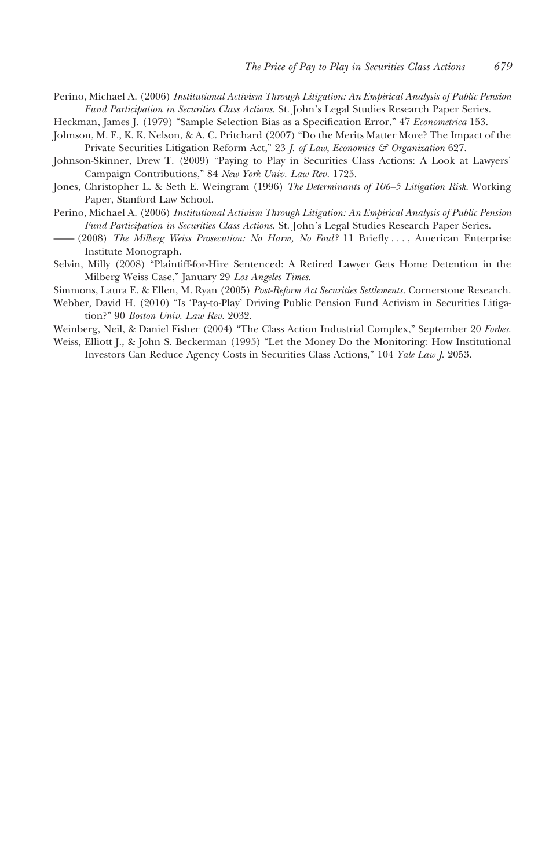Perino, Michael A. (2006) *Institutional Activism Through Litigation: An Empirical Analysis of Public Pension Fund Participation in Securities Class Actions*. St. John's Legal Studies Research Paper Series.

Heckman, James J. (1979) "Sample Selection Bias as a Specification Error," 47 *Econometrica* 153.

- Johnson, M. F., K. K. Nelson, & A. C. Pritchard (2007) "Do the Merits Matter More? The Impact of the Private Securities Litigation Reform Act," 23 *J. of Law, Economics & Organization* 627.
- Johnson-Skinner, Drew T. (2009) "Paying to Play in Securities Class Actions: A Look at Lawyers' Campaign Contributions," 84 *New York Univ. Law Rev.* 1725.
- Jones, Christopher L. & Seth E. Weingram (1996) *The Determinants of 106–5 Litigation Risk*. Working Paper, Stanford Law School.
- Perino, Michael A. (2006) *Institutional Activism Through Litigation: An Empirical Analysis of Public Pension Fund Participation in Securities Class Actions*. St. John's Legal Studies Research Paper Series.
- —— (2008) *The Milberg Weiss Prosecution: No Harm, No Foul?* 11 Briefly . . . , American Enterprise Institute Monograph.
- Selvin, Milly (2008) "Plaintiff-for-Hire Sentenced: A Retired Lawyer Gets Home Detention in the Milberg Weiss Case," January 29 *Los Angeles Times*.

Simmons, Laura E. & Ellen, M. Ryan (2005) *Post-Reform Act Securities Settlements.* Cornerstone Research.

Webber, David H. (2010) "Is 'Pay-to-Play' Driving Public Pension Fund Activism in Securities Litigation?" 90 *Boston Univ. Law Rev.* 2032.

Weinberg, Neil, & Daniel Fisher (2004) "The Class Action Industrial Complex," September 20 *Forbes*.

Weiss, Elliott J., & John S. Beckerman (1995) "Let the Money Do the Monitoring: How Institutional Investors Can Reduce Agency Costs in Securities Class Actions," 104 *Yale Law J.* 2053.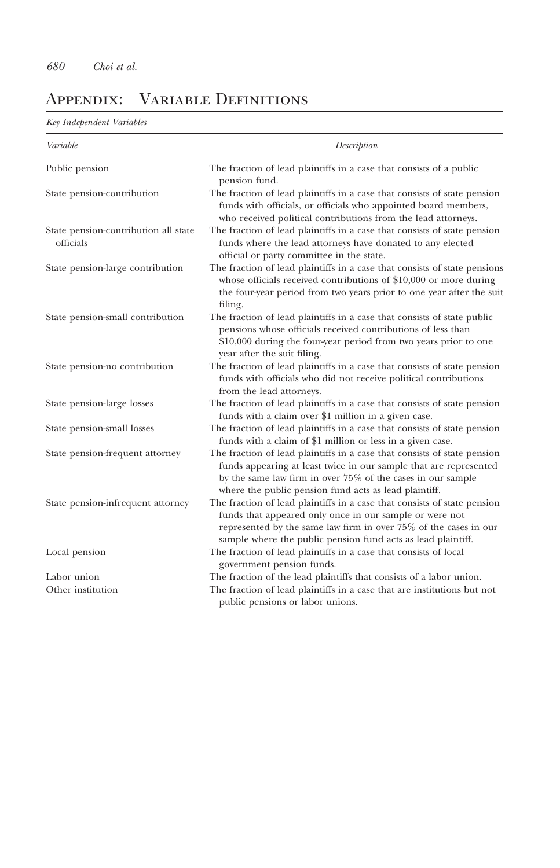# Appendix: Variable Definitions

*Key Independent Variables*

| Variable                                          | Description                                                                                                                                                                                                                                                             |
|---------------------------------------------------|-------------------------------------------------------------------------------------------------------------------------------------------------------------------------------------------------------------------------------------------------------------------------|
| Public pension                                    | The fraction of lead plaintiffs in a case that consists of a public<br>pension fund.                                                                                                                                                                                    |
| State pension-contribution                        | The fraction of lead plaintiffs in a case that consists of state pension<br>funds with officials, or officials who appointed board members,<br>who received political contributions from the lead attorneys.                                                            |
| State pension-contribution all state<br>officials | The fraction of lead plaintiffs in a case that consists of state pension<br>funds where the lead attorneys have donated to any elected<br>official or party committee in the state.                                                                                     |
| State pension-large contribution                  | The fraction of lead plaintiffs in a case that consists of state pensions<br>whose officials received contributions of \$10,000 or more during<br>the four-year period from two years prior to one year after the suit<br>filing.                                       |
| State pension-small contribution                  | The fraction of lead plaintiffs in a case that consists of state public<br>pensions whose officials received contributions of less than<br>\$10,000 during the four-year period from two years prior to one<br>year after the suit filing.                              |
| State pension-no contribution                     | The fraction of lead plaintiffs in a case that consists of state pension<br>funds with officials who did not receive political contributions<br>from the lead attorneys.                                                                                                |
| State pension-large losses                        | The fraction of lead plaintiffs in a case that consists of state pension<br>funds with a claim over \$1 million in a given case.                                                                                                                                        |
| State pension-small losses                        | The fraction of lead plaintiffs in a case that consists of state pension<br>funds with a claim of \$1 million or less in a given case.                                                                                                                                  |
| State pension-frequent attorney                   | The fraction of lead plaintiffs in a case that consists of state pension<br>funds appearing at least twice in our sample that are represented<br>by the same law firm in over 75% of the cases in our sample<br>where the public pension fund acts as lead plaintiff.   |
| State pension-infrequent attorney                 | The fraction of lead plaintiffs in a case that consists of state pension<br>funds that appeared only once in our sample or were not<br>represented by the same law firm in over 75% of the cases in our<br>sample where the public pension fund acts as lead plaintiff. |
| Local pension                                     | The fraction of lead plaintiffs in a case that consists of local<br>government pension funds.                                                                                                                                                                           |
| Labor union                                       | The fraction of the lead plaintiffs that consists of a labor union.                                                                                                                                                                                                     |
| Other institution                                 | The fraction of lead plaintiffs in a case that are institutions but not<br>public pensions or labor unions.                                                                                                                                                             |